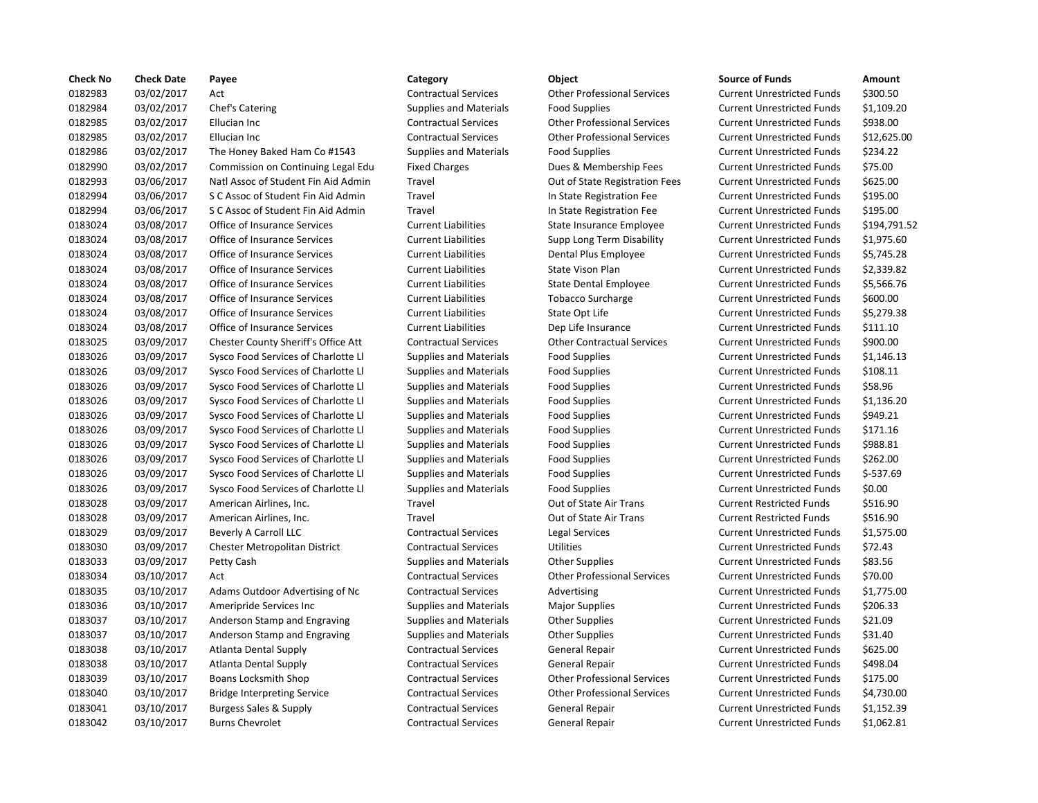| <b>Check No</b> | <b>Check Date</b> | Payee                               | Category                      | Object                             | <b>Source of Funds</b>            | Amount     |
|-----------------|-------------------|-------------------------------------|-------------------------------|------------------------------------|-----------------------------------|------------|
| 0182983         | 03/02/2017        | Act                                 | <b>Contractual Services</b>   | <b>Other Professional Services</b> | <b>Current Unrestricted Funds</b> | \$300.50   |
| 0182984         | 03/02/2017        | Chef's Catering                     | <b>Supplies and Materials</b> | <b>Food Supplies</b>               | <b>Current Unrestricted Funds</b> | \$1,109.2  |
| 0182985         | 03/02/2017        | Ellucian Inc                        | <b>Contractual Services</b>   | <b>Other Professional Services</b> | <b>Current Unrestricted Funds</b> | \$938.00   |
| 0182985         | 03/02/2017        | Ellucian Inc                        | <b>Contractual Services</b>   | <b>Other Professional Services</b> | <b>Current Unrestricted Funds</b> | \$12,625   |
| 0182986         | 03/02/2017        | The Honey Baked Ham Co #1543        | <b>Supplies and Materials</b> | <b>Food Supplies</b>               | <b>Current Unrestricted Funds</b> | \$234.22   |
| 0182990         | 03/02/2017        | Commission on Continuing Legal Edu  | <b>Fixed Charges</b>          | Dues & Membership Fees             | <b>Current Unrestricted Funds</b> | \$75.00    |
| 0182993         | 03/06/2017        | Natl Assoc of Student Fin Aid Admin | Travel                        | Out of State Registration Fees     | <b>Current Unrestricted Funds</b> | \$625.00   |
| 0182994         | 03/06/2017        | S C Assoc of Student Fin Aid Admin  | Travel                        | In State Registration Fee          | <b>Current Unrestricted Funds</b> | \$195.00   |
| 0182994         | 03/06/2017        | S C Assoc of Student Fin Aid Admin  | Travel                        | In State Registration Fee          | <b>Current Unrestricted Funds</b> | \$195.00   |
| 0183024         | 03/08/2017        | Office of Insurance Services        | <b>Current Liabilities</b>    | State Insurance Employee           | <b>Current Unrestricted Funds</b> | \$194,79   |
| 0183024         | 03/08/2017        | Office of Insurance Services        | <b>Current Liabilities</b>    | Supp Long Term Disability          | <b>Current Unrestricted Funds</b> | \$1,975.6  |
| 0183024         | 03/08/2017        | Office of Insurance Services        | <b>Current Liabilities</b>    | Dental Plus Employee               | <b>Current Unrestricted Funds</b> | \$5,745.2  |
| 0183024         | 03/08/2017        | Office of Insurance Services        | <b>Current Liabilities</b>    | State Vison Plan                   | <b>Current Unrestricted Funds</b> | \$2,339.8  |
| 0183024         | 03/08/2017        | Office of Insurance Services        | <b>Current Liabilities</b>    | <b>State Dental Employee</b>       | <b>Current Unrestricted Funds</b> | \$5,566.7  |
| 0183024         | 03/08/2017        | Office of Insurance Services        | <b>Current Liabilities</b>    | <b>Tobacco Surcharge</b>           | <b>Current Unrestricted Funds</b> | \$600.00   |
| 0183024         | 03/08/2017        | Office of Insurance Services        | <b>Current Liabilities</b>    | State Opt Life                     | <b>Current Unrestricted Funds</b> | \$5,279.3  |
| 0183024         | 03/08/2017        | Office of Insurance Services        | <b>Current Liabilities</b>    | Dep Life Insurance                 | <b>Current Unrestricted Funds</b> | \$111.10   |
| 0183025         | 03/09/2017        | Chester County Sheriff's Office Att | <b>Contractual Services</b>   | <b>Other Contractual Services</b>  | <b>Current Unrestricted Funds</b> | \$900.00   |
| 0183026         | 03/09/2017        | Sysco Food Services of Charlotte Ll | <b>Supplies and Materials</b> | <b>Food Supplies</b>               | <b>Current Unrestricted Funds</b> | \$1,146.1  |
| 0183026         | 03/09/2017        | Sysco Food Services of Charlotte Ll | <b>Supplies and Materials</b> | <b>Food Supplies</b>               | <b>Current Unrestricted Funds</b> | \$108.11   |
| 0183026         | 03/09/2017        | Sysco Food Services of Charlotte Ll | <b>Supplies and Materials</b> | <b>Food Supplies</b>               | <b>Current Unrestricted Funds</b> | \$58.96    |
| 0183026         | 03/09/2017        | Sysco Food Services of Charlotte Ll | <b>Supplies and Materials</b> | <b>Food Supplies</b>               | <b>Current Unrestricted Funds</b> | \$1,136.2  |
| 0183026         | 03/09/2017        | Sysco Food Services of Charlotte Ll | <b>Supplies and Materials</b> | <b>Food Supplies</b>               | <b>Current Unrestricted Funds</b> | \$949.21   |
| 0183026         | 03/09/2017        | Sysco Food Services of Charlotte Ll | <b>Supplies and Materials</b> | <b>Food Supplies</b>               | <b>Current Unrestricted Funds</b> | \$171.16   |
| 0183026         | 03/09/2017        | Sysco Food Services of Charlotte Ll | <b>Supplies and Materials</b> | <b>Food Supplies</b>               | <b>Current Unrestricted Funds</b> | \$988.81   |
| 0183026         | 03/09/2017        | Sysco Food Services of Charlotte Ll | <b>Supplies and Materials</b> | <b>Food Supplies</b>               | <b>Current Unrestricted Funds</b> | \$262.00   |
| 0183026         | 03/09/2017        | Sysco Food Services of Charlotte Ll | <b>Supplies and Materials</b> | <b>Food Supplies</b>               | <b>Current Unrestricted Funds</b> | $$-537.69$ |
| 0183026         | 03/09/2017        | Sysco Food Services of Charlotte Ll | Supplies and Materials        | <b>Food Supplies</b>               | <b>Current Unrestricted Funds</b> | \$0.00     |
| 0183028         | 03/09/2017        | American Airlines, Inc.             | Travel                        | Out of State Air Trans             | <b>Current Restricted Funds</b>   | \$516.90   |
| 0183028         | 03/09/2017        | American Airlines, Inc.             | Travel                        | Out of State Air Trans             | <b>Current Restricted Funds</b>   | \$516.90   |
| 0183029         | 03/09/2017        | Beverly A Carroll LLC               | <b>Contractual Services</b>   | Legal Services                     | <b>Current Unrestricted Funds</b> | \$1,575.0  |
| 0183030         | 03/09/2017        | Chester Metropolitan District       | <b>Contractual Services</b>   | <b>Utilities</b>                   | <b>Current Unrestricted Funds</b> | \$72.43    |
| 0183033         | 03/09/2017        | Petty Cash                          | <b>Supplies and Materials</b> | <b>Other Supplies</b>              | <b>Current Unrestricted Funds</b> | \$83.56    |
| 0183034         | 03/10/2017        | Act                                 | <b>Contractual Services</b>   | <b>Other Professional Services</b> | <b>Current Unrestricted Funds</b> | \$70.00    |
| 0183035         | 03/10/2017        | Adams Outdoor Advertising of Nc     | <b>Contractual Services</b>   | Advertising                        | <b>Current Unrestricted Funds</b> | \$1,775.0  |
| 0183036         | 03/10/2017        | Ameripride Services Inc             | <b>Supplies and Materials</b> | <b>Major Supplies</b>              | <b>Current Unrestricted Funds</b> | \$206.33   |
| 0183037         | 03/10/2017        | Anderson Stamp and Engraving        | <b>Supplies and Materials</b> | <b>Other Supplies</b>              | <b>Current Unrestricted Funds</b> | \$21.09    |
| 0183037         | 03/10/2017        | Anderson Stamp and Engraving        | <b>Supplies and Materials</b> | <b>Other Supplies</b>              | <b>Current Unrestricted Funds</b> | \$31.40    |
| 0183038         | 03/10/2017        | <b>Atlanta Dental Supply</b>        | <b>Contractual Services</b>   | General Repair                     | <b>Current Unrestricted Funds</b> | \$625.00   |
| 0183038         | 03/10/2017        | Atlanta Dental Supply               | <b>Contractual Services</b>   | General Repair                     | <b>Current Unrestricted Funds</b> | \$498.04   |
| 0183039         | 03/10/2017        | Boans Locksmith Shop                | <b>Contractual Services</b>   | <b>Other Professional Services</b> | <b>Current Unrestricted Funds</b> | \$175.00   |
| 0183040         | 03/10/2017        | <b>Bridge Interpreting Service</b>  | <b>Contractual Services</b>   | <b>Other Professional Services</b> | <b>Current Unrestricted Funds</b> | \$4,730.0  |
| 0183041         | 03/10/2017        | <b>Burgess Sales &amp; Supply</b>   | <b>Contractual Services</b>   | <b>General Repair</b>              | <b>Current Unrestricted Funds</b> | \$1,152.3  |
| 0183042         | 03/10/2017        | <b>Burns Chevrolet</b>              | <b>Contractual Services</b>   | General Repair                     | <b>Current Unrestricted Funds</b> | \$1,062.8  |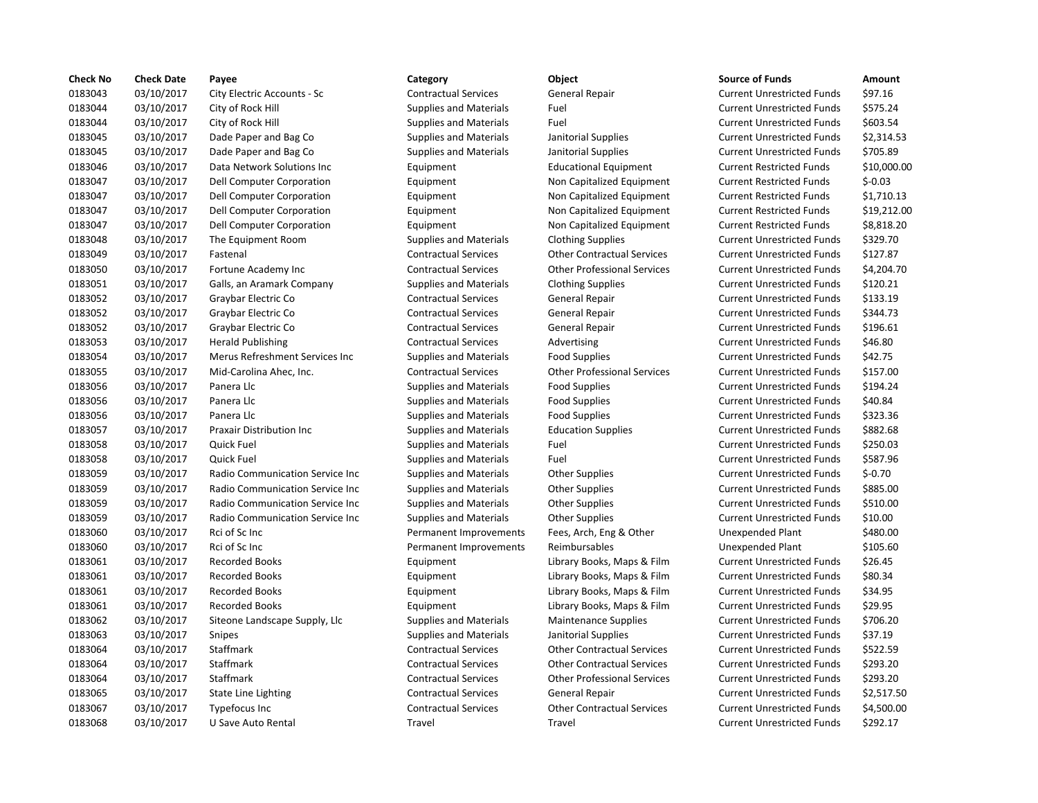| <b>Check No</b> | <b>Check Date</b> | Payee                           | Category                      | Object                             | <b>Source of Funds</b>            | Amount    |
|-----------------|-------------------|---------------------------------|-------------------------------|------------------------------------|-----------------------------------|-----------|
| 0183043         | 03/10/2017        | City Electric Accounts - Sc     | <b>Contractual Services</b>   | General Repair                     | <b>Current Unrestricted Funds</b> | \$97.16   |
| 0183044         | 03/10/2017        | City of Rock Hill               | <b>Supplies and Materials</b> | Fuel                               | <b>Current Unrestricted Funds</b> | \$575.24  |
| 0183044         | 03/10/2017        | City of Rock Hill               | <b>Supplies and Materials</b> | Fuel                               | <b>Current Unrestricted Funds</b> | \$603.54  |
| 0183045         | 03/10/2017        | Dade Paper and Bag Co           | <b>Supplies and Materials</b> | Janitorial Supplies                | <b>Current Unrestricted Funds</b> | \$2,314.5 |
| 0183045         | 03/10/2017        | Dade Paper and Bag Co           | <b>Supplies and Materials</b> | Janitorial Supplies                | <b>Current Unrestricted Funds</b> | \$705.89  |
| 0183046         | 03/10/2017        | Data Network Solutions Inc      | Equipment                     | <b>Educational Equipment</b>       | <b>Current Restricted Funds</b>   | \$10,000  |
| 0183047         | 03/10/2017        | Dell Computer Corporation       | Equipment                     | Non Capitalized Equipment          | <b>Current Restricted Funds</b>   | $$ -0.03$ |
| 0183047         | 03/10/2017        | Dell Computer Corporation       | Equipment                     | Non Capitalized Equipment          | <b>Current Restricted Funds</b>   | \$1,710.1 |
| 0183047         | 03/10/2017        | Dell Computer Corporation       | Equipment                     | Non Capitalized Equipment          | <b>Current Restricted Funds</b>   | \$19,212  |
| 0183047         | 03/10/2017        | Dell Computer Corporation       | Equipment                     | Non Capitalized Equipment          | <b>Current Restricted Funds</b>   | \$8,818.2 |
| 0183048         | 03/10/2017        | The Equipment Room              | <b>Supplies and Materials</b> | <b>Clothing Supplies</b>           | <b>Current Unrestricted Funds</b> | \$329.70  |
| 0183049         | 03/10/2017        | Fastenal                        | <b>Contractual Services</b>   | <b>Other Contractual Services</b>  | <b>Current Unrestricted Funds</b> | \$127.87  |
| 0183050         | 03/10/2017        | Fortune Academy Inc             | <b>Contractual Services</b>   | <b>Other Professional Services</b> | <b>Current Unrestricted Funds</b> | \$4,204.7 |
| 0183051         | 03/10/2017        | Galls, an Aramark Company       | <b>Supplies and Materials</b> | <b>Clothing Supplies</b>           | <b>Current Unrestricted Funds</b> | \$120.21  |
| 0183052         | 03/10/2017        | Graybar Electric Co             | <b>Contractual Services</b>   | <b>General Repair</b>              | <b>Current Unrestricted Funds</b> | \$133.19  |
| 0183052         | 03/10/2017        | Graybar Electric Co             | <b>Contractual Services</b>   | <b>General Repair</b>              | <b>Current Unrestricted Funds</b> | \$344.73  |
| 0183052         | 03/10/2017        | Graybar Electric Co             | <b>Contractual Services</b>   | <b>General Repair</b>              | <b>Current Unrestricted Funds</b> | \$196.61  |
| 0183053         | 03/10/2017        | <b>Herald Publishing</b>        | <b>Contractual Services</b>   | Advertising                        | <b>Current Unrestricted Funds</b> | \$46.80   |
| 0183054         | 03/10/2017        | Merus Refreshment Services Inc  | <b>Supplies and Materials</b> | <b>Food Supplies</b>               | <b>Current Unrestricted Funds</b> | \$42.75   |
| 0183055         | 03/10/2017        | Mid-Carolina Ahec, Inc.         | <b>Contractual Services</b>   | <b>Other Professional Services</b> | <b>Current Unrestricted Funds</b> | \$157.00  |
| 0183056         | 03/10/2017        | Panera Llc                      | <b>Supplies and Materials</b> | <b>Food Supplies</b>               | <b>Current Unrestricted Funds</b> | \$194.24  |
| 0183056         | 03/10/2017        | Panera Llc                      | <b>Supplies and Materials</b> | <b>Food Supplies</b>               | <b>Current Unrestricted Funds</b> | \$40.84   |
| 0183056         | 03/10/2017        | Panera Llc                      | <b>Supplies and Materials</b> | <b>Food Supplies</b>               | <b>Current Unrestricted Funds</b> | \$323.36  |
| 0183057         | 03/10/2017        | Praxair Distribution Inc        | <b>Supplies and Materials</b> | <b>Education Supplies</b>          | <b>Current Unrestricted Funds</b> | \$882.68  |
| 0183058         | 03/10/2017        | Quick Fuel                      | <b>Supplies and Materials</b> | Fuel                               | <b>Current Unrestricted Funds</b> | \$250.03  |
| 0183058         | 03/10/2017        | Quick Fuel                      | <b>Supplies and Materials</b> | Fuel                               | <b>Current Unrestricted Funds</b> | \$587.96  |
| 0183059         | 03/10/2017        | Radio Communication Service Inc | <b>Supplies and Materials</b> | <b>Other Supplies</b>              | <b>Current Unrestricted Funds</b> | $$ -0.70$ |
| 0183059         | 03/10/2017        | Radio Communication Service Inc | <b>Supplies and Materials</b> | <b>Other Supplies</b>              | <b>Current Unrestricted Funds</b> | \$885.00  |
| 0183059         | 03/10/2017        | Radio Communication Service Inc | <b>Supplies and Materials</b> | <b>Other Supplies</b>              | <b>Current Unrestricted Funds</b> | \$510.00  |
| 0183059         | 03/10/2017        | Radio Communication Service Inc | <b>Supplies and Materials</b> | <b>Other Supplies</b>              | <b>Current Unrestricted Funds</b> | \$10.00   |
| 0183060         | 03/10/2017        | Rci of Sc Inc                   | Permanent Improvements        | Fees, Arch, Eng & Other            | Unexpended Plant                  | \$480.00  |
| 0183060         | 03/10/2017        | Rci of Sc Inc                   | Permanent Improvements        | Reimbursables                      | Unexpended Plant                  | \$105.60  |
| 0183061         | 03/10/2017        | <b>Recorded Books</b>           | Equipment                     | Library Books, Maps & Film         | <b>Current Unrestricted Funds</b> | \$26.45   |
| 0183061         | 03/10/2017        | <b>Recorded Books</b>           | Equipment                     | Library Books, Maps & Film         | <b>Current Unrestricted Funds</b> | \$80.34   |
| 0183061         | 03/10/2017        | <b>Recorded Books</b>           | Equipment                     | Library Books, Maps & Film         | <b>Current Unrestricted Funds</b> | \$34.95   |
| 0183061         | 03/10/2017        | <b>Recorded Books</b>           | Equipment                     | Library Books, Maps & Film         | <b>Current Unrestricted Funds</b> | \$29.95   |
| 0183062         | 03/10/2017        | Siteone Landscape Supply, Llc   | <b>Supplies and Materials</b> | <b>Maintenance Supplies</b>        | <b>Current Unrestricted Funds</b> | \$706.20  |
| 0183063         | 03/10/2017        | Snipes                          | <b>Supplies and Materials</b> | Janitorial Supplies                | <b>Current Unrestricted Funds</b> | \$37.19   |
| 0183064         | 03/10/2017        | Staffmark                       | <b>Contractual Services</b>   | <b>Other Contractual Services</b>  | <b>Current Unrestricted Funds</b> | \$522.59  |
| 0183064         | 03/10/2017        | Staffmark                       | <b>Contractual Services</b>   | <b>Other Contractual Services</b>  | <b>Current Unrestricted Funds</b> | \$293.20  |
| 0183064         | 03/10/2017        | Staffmark                       | <b>Contractual Services</b>   | <b>Other Professional Services</b> | <b>Current Unrestricted Funds</b> | \$293.20  |
| 0183065         | 03/10/2017        | <b>State Line Lighting</b>      | <b>Contractual Services</b>   | General Repair                     | <b>Current Unrestricted Funds</b> | \$2,517.5 |
| 0183067         | 03/10/2017        | Typefocus Inc                   | <b>Contractual Services</b>   | <b>Other Contractual Services</b>  | <b>Current Unrestricted Funds</b> | \$4,500.0 |
| 0183068         | 03/10/2017        | U Save Auto Rental              | Travel                        | Travel                             | <b>Current Unrestricted Funds</b> | \$292.17  |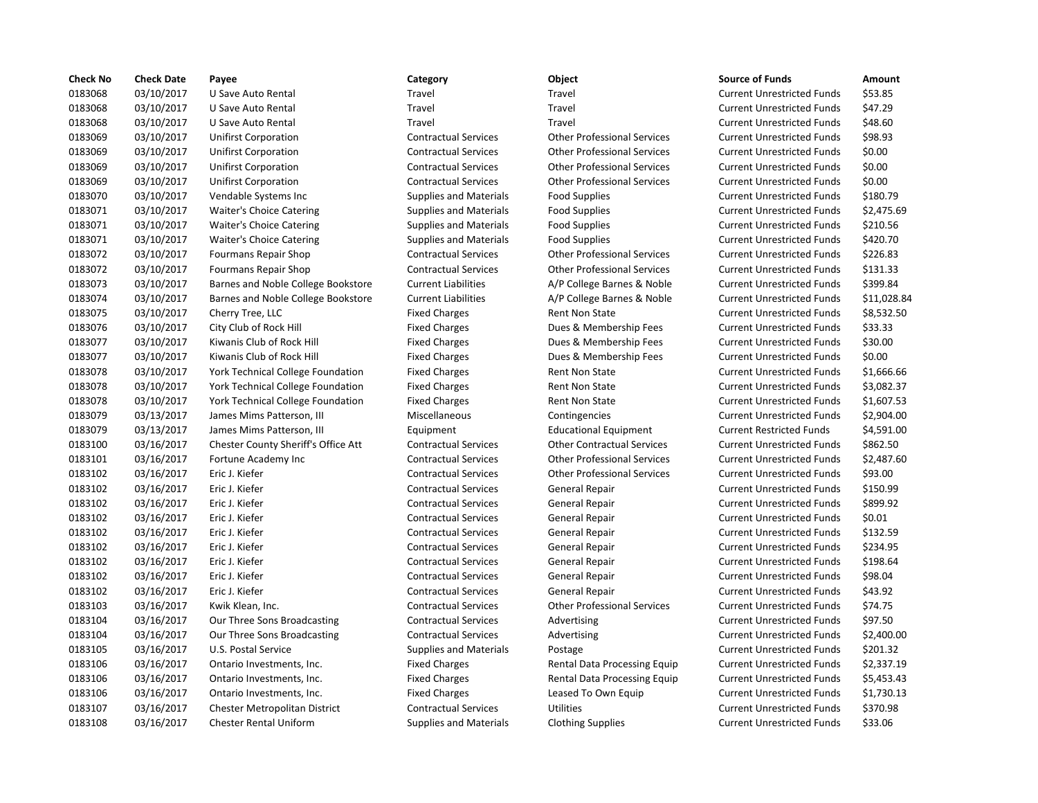| <b>Check No</b> | <b>Check Date</b> | Payee                                | Category                      | Object                             | <b>Source of Funds</b>            | Amount    |
|-----------------|-------------------|--------------------------------------|-------------------------------|------------------------------------|-----------------------------------|-----------|
| 0183068         | 03/10/2017        | U Save Auto Rental                   | Travel                        | Travel                             | <b>Current Unrestricted Funds</b> | \$53.85   |
| 0183068         | 03/10/2017        | U Save Auto Rental                   | Travel                        | Travel                             | <b>Current Unrestricted Funds</b> | \$47.29   |
| 0183068         | 03/10/2017        | U Save Auto Rental                   | Travel                        | Travel                             | <b>Current Unrestricted Funds</b> | \$48.60   |
| 0183069         | 03/10/2017        | <b>Unifirst Corporation</b>          | <b>Contractual Services</b>   | <b>Other Professional Services</b> | <b>Current Unrestricted Funds</b> | \$98.93   |
| 0183069         | 03/10/2017        | <b>Unifirst Corporation</b>          | <b>Contractual Services</b>   | <b>Other Professional Services</b> | <b>Current Unrestricted Funds</b> | \$0.00    |
| 0183069         | 03/10/2017        | <b>Unifirst Corporation</b>          | <b>Contractual Services</b>   | <b>Other Professional Services</b> | <b>Current Unrestricted Funds</b> | \$0.00    |
| 0183069         | 03/10/2017        | <b>Unifirst Corporation</b>          | <b>Contractual Services</b>   | <b>Other Professional Services</b> | <b>Current Unrestricted Funds</b> | \$0.00    |
| 0183070         | 03/10/2017        | Vendable Systems Inc                 | <b>Supplies and Materials</b> | <b>Food Supplies</b>               | <b>Current Unrestricted Funds</b> | \$180.79  |
| 0183071         | 03/10/2017        | Waiter's Choice Catering             | <b>Supplies and Materials</b> | <b>Food Supplies</b>               | <b>Current Unrestricted Funds</b> | \$2,475.6 |
| 0183071         | 03/10/2017        | Waiter's Choice Catering             | <b>Supplies and Materials</b> | <b>Food Supplies</b>               | <b>Current Unrestricted Funds</b> | \$210.56  |
| 0183071         | 03/10/2017        | Waiter's Choice Catering             | <b>Supplies and Materials</b> | <b>Food Supplies</b>               | <b>Current Unrestricted Funds</b> | \$420.70  |
| 0183072         | 03/10/2017        | Fourmans Repair Shop                 | <b>Contractual Services</b>   | <b>Other Professional Services</b> | <b>Current Unrestricted Funds</b> | \$226.83  |
| 0183072         | 03/10/2017        | Fourmans Repair Shop                 | <b>Contractual Services</b>   | <b>Other Professional Services</b> | <b>Current Unrestricted Funds</b> | \$131.33  |
| 0183073         | 03/10/2017        | Barnes and Noble College Bookstore   | <b>Current Liabilities</b>    | A/P College Barnes & Noble         | <b>Current Unrestricted Funds</b> | \$399.84  |
| 0183074         | 03/10/2017        | Barnes and Noble College Bookstore   | <b>Current Liabilities</b>    | A/P College Barnes & Noble         | <b>Current Unrestricted Funds</b> | \$11,028  |
| 0183075         | 03/10/2017        | Cherry Tree, LLC                     | <b>Fixed Charges</b>          | Rent Non State                     | <b>Current Unrestricted Funds</b> | \$8,532.5 |
| 0183076         | 03/10/2017        | City Club of Rock Hill               | <b>Fixed Charges</b>          | Dues & Membership Fees             | <b>Current Unrestricted Funds</b> | \$33.33   |
| 0183077         | 03/10/2017        | Kiwanis Club of Rock Hill            | <b>Fixed Charges</b>          | Dues & Membership Fees             | <b>Current Unrestricted Funds</b> | \$30.00   |
| 0183077         | 03/10/2017        | Kiwanis Club of Rock Hill            | <b>Fixed Charges</b>          | Dues & Membership Fees             | <b>Current Unrestricted Funds</b> | \$0.00    |
| 0183078         | 03/10/2017        | York Technical College Foundation    | <b>Fixed Charges</b>          | Rent Non State                     | <b>Current Unrestricted Funds</b> | \$1,666.6 |
| 0183078         | 03/10/2017        | York Technical College Foundation    | <b>Fixed Charges</b>          | <b>Rent Non State</b>              | <b>Current Unrestricted Funds</b> | \$3,082.3 |
| 0183078         | 03/10/2017        | York Technical College Foundation    | <b>Fixed Charges</b>          | Rent Non State                     | <b>Current Unrestricted Funds</b> | \$1,607.5 |
| 0183079         | 03/13/2017        | James Mims Patterson, III            | Miscellaneous                 | Contingencies                      | <b>Current Unrestricted Funds</b> | \$2,904.0 |
| 0183079         | 03/13/2017        | James Mims Patterson, III            | Equipment                     | <b>Educational Equipment</b>       | <b>Current Restricted Funds</b>   | \$4,591.0 |
| 0183100         | 03/16/2017        | Chester County Sheriff's Office Att  | <b>Contractual Services</b>   | <b>Other Contractual Services</b>  | <b>Current Unrestricted Funds</b> | \$862.50  |
| 0183101         | 03/16/2017        | Fortune Academy Inc                  | <b>Contractual Services</b>   | <b>Other Professional Services</b> | <b>Current Unrestricted Funds</b> | \$2,487.6 |
| 0183102         | 03/16/2017        | Eric J. Kiefer                       | <b>Contractual Services</b>   | <b>Other Professional Services</b> | <b>Current Unrestricted Funds</b> | \$93.00   |
| 0183102         | 03/16/2017        | Eric J. Kiefer                       | <b>Contractual Services</b>   | General Repair                     | <b>Current Unrestricted Funds</b> | \$150.99  |
| 0183102         | 03/16/2017        | Eric J. Kiefer                       | <b>Contractual Services</b>   | General Repair                     | <b>Current Unrestricted Funds</b> | \$899.92  |
| 0183102         | 03/16/2017        | Eric J. Kiefer                       | <b>Contractual Services</b>   | General Repair                     | <b>Current Unrestricted Funds</b> | \$0.01    |
| 0183102         | 03/16/2017        | Eric J. Kiefer                       | <b>Contractual Services</b>   | General Repair                     | <b>Current Unrestricted Funds</b> | \$132.59  |
| 0183102         | 03/16/2017        | Eric J. Kiefer                       | <b>Contractual Services</b>   | General Repair                     | <b>Current Unrestricted Funds</b> | \$234.95  |
| 0183102         | 03/16/2017        | Eric J. Kiefer                       | <b>Contractual Services</b>   | General Repair                     | <b>Current Unrestricted Funds</b> | \$198.64  |
| 0183102         | 03/16/2017        | Eric J. Kiefer                       | <b>Contractual Services</b>   | General Repair                     | <b>Current Unrestricted Funds</b> | \$98.04   |
| 0183102         | 03/16/2017        | Eric J. Kiefer                       | <b>Contractual Services</b>   | General Repair                     | <b>Current Unrestricted Funds</b> | \$43.92   |
| 0183103         | 03/16/2017        | Kwik Klean, Inc.                     | <b>Contractual Services</b>   | <b>Other Professional Services</b> | <b>Current Unrestricted Funds</b> | \$74.75   |
| 0183104         | 03/16/2017        | Our Three Sons Broadcasting          | <b>Contractual Services</b>   | Advertising                        | <b>Current Unrestricted Funds</b> | \$97.50   |
| 0183104         | 03/16/2017        | Our Three Sons Broadcasting          | <b>Contractual Services</b>   | Advertising                        | <b>Current Unrestricted Funds</b> | \$2,400.0 |
| 0183105         | 03/16/2017        | U.S. Postal Service                  | <b>Supplies and Materials</b> | Postage                            | <b>Current Unrestricted Funds</b> | \$201.32  |
| 0183106         | 03/16/2017        | Ontario Investments, Inc.            | <b>Fixed Charges</b>          | Rental Data Processing Equip       | <b>Current Unrestricted Funds</b> | \$2,337.1 |
| 0183106         | 03/16/2017        | Ontario Investments, Inc.            | <b>Fixed Charges</b>          | Rental Data Processing Equip       | <b>Current Unrestricted Funds</b> | \$5,453.4 |
| 0183106         | 03/16/2017        | Ontario Investments, Inc.            | <b>Fixed Charges</b>          | Leased To Own Equip                | <b>Current Unrestricted Funds</b> | \$1,730.1 |
| 0183107         | 03/16/2017        | <b>Chester Metropolitan District</b> | <b>Contractual Services</b>   | <b>Utilities</b>                   | <b>Current Unrestricted Funds</b> | \$370.98  |
| 0183108         | 03/16/2017        | <b>Chester Rental Uniform</b>        | <b>Supplies and Materials</b> | <b>Clothing Supplies</b>           | <b>Current Unrestricted Funds</b> | \$33.06   |

# 0183068 03/10/2017 U Save Auto Rental Travel Travel Current Unrestricted Funds \$53.85 Travel **12.18306 12.1306 12.13106 12.13106 12.13106 12.13106 12.13106 12.13106 12.13106 12.13106 12.13106 12.1310** 0183068 03/10/2017 U Save Auto Rental Travel Travel Current Unrestricted Funds \$48.60 0183069 03/10/2017 Unifirst Corporation Contractual Services Other Professional Services Current Unrestricted Funds \$98.93 0183069 03/10/2017 Unifirst Corporation Contractual Services Other Professional Services Current Unrestricted Funds \$0.00 0183069 03/10/2017 Unifirst Corporation Contractual Services Other Professional Services Current Unrestricted Funds \$0.00 0183069 03/10/2017 Unifirst Corporation Contractual Services Other Professional Services Current Unrestricted Funds \$0.00 0183070 03/10/2017 Vendable Systems Inc Supplies and Materials Food Supplies Current Unrestricted Funds \$180.79 0183071 03/10/2017 Waiter's Choice Catering Supplies and Materials Food Supplies Current Unrestricted Funds \$2,475.69 0183071 03/10/2017 Waiter's Choice Catering Supplies and Materials Food Supplies Current Unrestricted Funds \$210.56 0183071 03/10/2017 Waiter's Choice Catering Supplies and Materials Food Supplies Current Unrestricted Funds \$420.70 0183072 03/10/2017 Fourmans Repair Shop Contractual Services Other Professional Services Current Unrestricted Funds \$226.83 0183072 03/10/2017 Fourmans Repair Shop Contractual Services Other Professional Services Current Unrestricted Funds \$131.33 0183073 03/10/2017 Barnes and Noble College Bookstore Current Liabilities A/P College Barnes & Noble Current Unrestricted Funds \$399.84 Current Liabilities **A/P College Barnes & Noble** Current Unrestricted Funds \$11,028.84 Fixed Charges **8.532.50** Rent Non State **Current Unrestricted Funds** \$8,532.50 Fixed Charges **2018** Dues & Membership Fees Current Unrestricted Funds \$33.33 Fixed Charges **2017** Dues & Membership Fees Current Unrestricted Funds \$30.00 Fixed Charges **2007** Dues & Membership Fees Current Unrestricted Funds \$0.00 Fixed Charges **1.666.66 Rent Non State Foundation Fixed Charges** Current Unrestricted Funds \$1,666.66 Fixed Charges **12.1207 8 12.1207 Rent Non State 12.12017 Corrent Unrestricted Funds 53,082.37** Fixed Charges **1.607.53 Rent Non State Foundation Fixed Current Unrestricted Funds \$1,607.53** Miscellaneous **Contingencies** Contingencies Current Unrestricted Funds \$2,904.00 Equipment Educational Equipment Current Restricted Funds \$4,591.00 Contractual Services **Other Contractual Services** Current Unrestricted Funds \$862.50 Contractual Services **Other Professional Services** Current Unrestricted Funds \$2,487.60 0183102 03/16/2017 Eric J. Kiefer Contractual Services Other Professional Services Current Unrestricted Funds \$93.00 0183102 03/16/2017 Eric J. Kiefer Contractual Services General Repair Current Unrestricted Funds \$150.99 Contractual Services **General Repair Current Unrestricted Funds** \$899.92 0183102 03/16/2017 Eric J. Kiefer Contractual Services General Repair Current Unrestricted Funds \$0.01 0183102 03/16/2017 Eric J. Kiefer Contractual Services General Repair Current Unrestricted Funds \$132.59 Contractual Services General Repair Current Unrestricted Funds \$234.95 Contractual Services General Repair Current Unrestricted Funds \$198.64 0183102 03/16/2017 Eric J. Kiefer Contractual Services General Repair Current Unrestricted Funds \$98.04 0183102 03/16/2017 Eric J. Kiefer Contractual Services General Repair Current Unrestricted Funds \$43.92 0183103 03/16/2017 Kwik Klean, Inc. Contractual Services Other Professional Services Current Unrestricted Funds \$74.75 Contractual Services Advertising Current Unrestricted Funds \$97.50 Contractual Services Advertising Current Unrestricted Funds \$2,400.00 Supplies and Materials Postage Current Unrestricted Funds \$201.32 Fixed Charges **1.2018 Rental Data Processing Equip** Current Unrestricted Funds \$2,337.19 Fixed Charges **1.2018 Rental Data Processing Equip** Current Unrestricted Funds \$5,453.43 Fixed Charges **Leased To Own Equip Current Unrestricted Funds** \$1,730.13 0183107 03/16/2017 Chester Metropolitan District Contractual Services Utilities Current Unrestricted Funds \$370.98 Supplies and Materials Clothing Supplies Current Unrestricted Funds \$33.06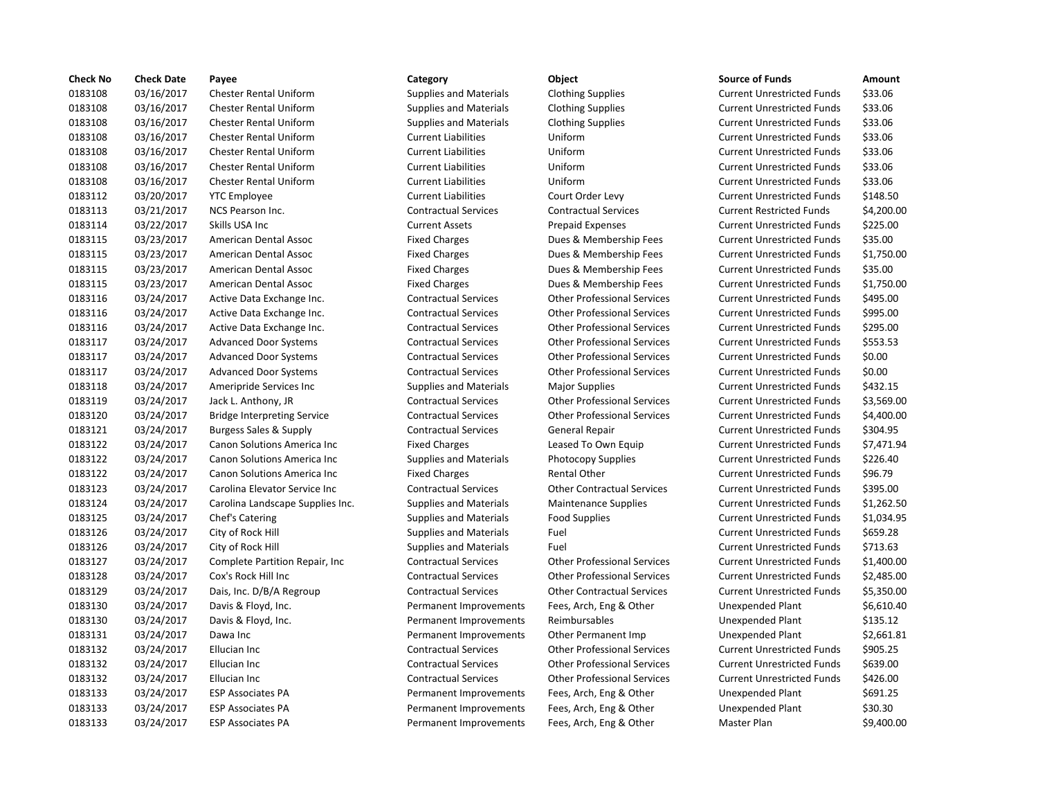| <b>Check No</b> | <b>Check Date</b> | Payee                              | Category                      | Object                             | <b>Source of Funds</b>            | Amount    |
|-----------------|-------------------|------------------------------------|-------------------------------|------------------------------------|-----------------------------------|-----------|
| 0183108         | 03/16/2017        | <b>Chester Rental Uniform</b>      | <b>Supplies and Materials</b> | <b>Clothing Supplies</b>           | <b>Current Unrestricted Funds</b> | \$33.06   |
| 0183108         | 03/16/2017        | <b>Chester Rental Uniform</b>      | <b>Supplies and Materials</b> | <b>Clothing Supplies</b>           | <b>Current Unrestricted Funds</b> | \$33.06   |
| 0183108         | 03/16/2017        | <b>Chester Rental Uniform</b>      | <b>Supplies and Materials</b> | <b>Clothing Supplies</b>           | <b>Current Unrestricted Funds</b> | \$33.06   |
| 0183108         | 03/16/2017        | <b>Chester Rental Uniform</b>      | <b>Current Liabilities</b>    | Uniform                            | <b>Current Unrestricted Funds</b> | \$33.06   |
| 0183108         | 03/16/2017        | <b>Chester Rental Uniform</b>      | <b>Current Liabilities</b>    | Uniform                            | <b>Current Unrestricted Funds</b> | \$33.06   |
| 0183108         | 03/16/2017        | <b>Chester Rental Uniform</b>      | <b>Current Liabilities</b>    | Uniform                            | <b>Current Unrestricted Funds</b> | \$33.06   |
| 0183108         | 03/16/2017        | <b>Chester Rental Uniform</b>      | <b>Current Liabilities</b>    | Uniform                            | <b>Current Unrestricted Funds</b> | \$33.06   |
| 0183112         | 03/20/2017        | <b>YTC Employee</b>                | <b>Current Liabilities</b>    | Court Order Levy                   | <b>Current Unrestricted Funds</b> | \$148.50  |
| 0183113         | 03/21/2017        | NCS Pearson Inc.                   | <b>Contractual Services</b>   | <b>Contractual Services</b>        | <b>Current Restricted Funds</b>   | \$4,200.0 |
| 0183114         | 03/22/2017        | Skills USA Inc                     | <b>Current Assets</b>         | <b>Prepaid Expenses</b>            | <b>Current Unrestricted Funds</b> | \$225.00  |
| 0183115         | 03/23/2017        | American Dental Assoc              | <b>Fixed Charges</b>          | Dues & Membership Fees             | <b>Current Unrestricted Funds</b> | \$35.00   |
| 0183115         | 03/23/2017        | American Dental Assoc              | <b>Fixed Charges</b>          | Dues & Membership Fees             | <b>Current Unrestricted Funds</b> | \$1,750.0 |
| 0183115         | 03/23/2017        | American Dental Assoc              | <b>Fixed Charges</b>          | Dues & Membership Fees             | <b>Current Unrestricted Funds</b> | \$35.00   |
| 0183115         | 03/23/2017        | American Dental Assoc              | <b>Fixed Charges</b>          | Dues & Membership Fees             | <b>Current Unrestricted Funds</b> | \$1,750.0 |
| 0183116         | 03/24/2017        | Active Data Exchange Inc.          | <b>Contractual Services</b>   | <b>Other Professional Services</b> | <b>Current Unrestricted Funds</b> | \$495.00  |
| 0183116         | 03/24/2017        | Active Data Exchange Inc.          | <b>Contractual Services</b>   | <b>Other Professional Services</b> | <b>Current Unrestricted Funds</b> | \$995.00  |
| 0183116         | 03/24/2017        | Active Data Exchange Inc.          | <b>Contractual Services</b>   | <b>Other Professional Services</b> | <b>Current Unrestricted Funds</b> | \$295.00  |
| 0183117         | 03/24/2017        | <b>Advanced Door Systems</b>       | <b>Contractual Services</b>   | <b>Other Professional Services</b> | <b>Current Unrestricted Funds</b> | \$553.53  |
| 0183117         | 03/24/2017        | <b>Advanced Door Systems</b>       | <b>Contractual Services</b>   | <b>Other Professional Services</b> | <b>Current Unrestricted Funds</b> | \$0.00    |
| 0183117         | 03/24/2017        | <b>Advanced Door Systems</b>       | <b>Contractual Services</b>   | <b>Other Professional Services</b> | <b>Current Unrestricted Funds</b> | \$0.00    |
| 0183118         | 03/24/2017        | Ameripride Services Inc            | <b>Supplies and Materials</b> | <b>Major Supplies</b>              | <b>Current Unrestricted Funds</b> | \$432.15  |
| 0183119         | 03/24/2017        | Jack L. Anthony, JR                | <b>Contractual Services</b>   | <b>Other Professional Services</b> | <b>Current Unrestricted Funds</b> | \$3,569.0 |
| 0183120         | 03/24/2017        | <b>Bridge Interpreting Service</b> | <b>Contractual Services</b>   | <b>Other Professional Services</b> | <b>Current Unrestricted Funds</b> | \$4,400.0 |
| 0183121         | 03/24/2017        | Burgess Sales & Supply             | <b>Contractual Services</b>   | General Repair                     | <b>Current Unrestricted Funds</b> | \$304.95  |
| 0183122         | 03/24/2017        | Canon Solutions America Inc        | <b>Fixed Charges</b>          | Leased To Own Equip                | <b>Current Unrestricted Funds</b> | \$7,471.9 |
| 0183122         | 03/24/2017        | Canon Solutions America Inc        | <b>Supplies and Materials</b> | <b>Photocopy Supplies</b>          | <b>Current Unrestricted Funds</b> | \$226.40  |
| 0183122         | 03/24/2017        | Canon Solutions America Inc        | <b>Fixed Charges</b>          | <b>Rental Other</b>                | <b>Current Unrestricted Funds</b> | \$96.79   |
| 0183123         | 03/24/2017        | Carolina Elevator Service Inc      | <b>Contractual Services</b>   | <b>Other Contractual Services</b>  | <b>Current Unrestricted Funds</b> | \$395.00  |
| 0183124         | 03/24/2017        | Carolina Landscape Supplies Inc.   | <b>Supplies and Materials</b> | <b>Maintenance Supplies</b>        | <b>Current Unrestricted Funds</b> | \$1,262.5 |
| 0183125         | 03/24/2017        | Chef's Catering                    | <b>Supplies and Materials</b> | <b>Food Supplies</b>               | <b>Current Unrestricted Funds</b> | \$1,034.9 |
| 0183126         | 03/24/2017        | City of Rock Hill                  | <b>Supplies and Materials</b> | Fuel                               | <b>Current Unrestricted Funds</b> | \$659.28  |
| 0183126         | 03/24/2017        | City of Rock Hill                  | <b>Supplies and Materials</b> | Fuel                               | <b>Current Unrestricted Funds</b> | \$713.63  |
| 0183127         | 03/24/2017        | Complete Partition Repair, Inc.    | <b>Contractual Services</b>   | <b>Other Professional Services</b> | <b>Current Unrestricted Funds</b> | \$1,400.0 |
| 0183128         | 03/24/2017        | Cox's Rock Hill Inc                | <b>Contractual Services</b>   | <b>Other Professional Services</b> | <b>Current Unrestricted Funds</b> | \$2,485.0 |
| 0183129         | 03/24/2017        | Dais, Inc. D/B/A Regroup           | <b>Contractual Services</b>   | <b>Other Contractual Services</b>  | <b>Current Unrestricted Funds</b> | \$5,350.0 |
| 0183130         | 03/24/2017        | Davis & Floyd, Inc.                | Permanent Improvements        | Fees, Arch, Eng & Other            | Unexpended Plant                  | \$6,610.4 |
| 0183130         | 03/24/2017        | Davis & Floyd, Inc.                | Permanent Improvements        | Reimbursables                      | Unexpended Plant                  | \$135.12  |
| 0183131         | 03/24/2017        | Dawa Inc                           | Permanent Improvements        | Other Permanent Imp                | Unexpended Plant                  | \$2,661.8 |
| 0183132         | 03/24/2017        | Ellucian Inc                       | <b>Contractual Services</b>   | <b>Other Professional Services</b> | <b>Current Unrestricted Funds</b> | \$905.25  |
| 0183132         | 03/24/2017        | Ellucian Inc                       | <b>Contractual Services</b>   | <b>Other Professional Services</b> | <b>Current Unrestricted Funds</b> | \$639.00  |
| 0183132         | 03/24/2017        | Ellucian Inc                       | <b>Contractual Services</b>   | <b>Other Professional Services</b> | <b>Current Unrestricted Funds</b> | \$426.00  |
| 0183133         | 03/24/2017        | <b>ESP Associates PA</b>           | Permanent Improvements        | Fees, Arch, Eng & Other            | Unexpended Plant                  | \$691.25  |
| 0183133         | 03/24/2017        | <b>ESP Associates PA</b>           | Permanent Improvements        | Fees, Arch, Eng & Other            | Unexpended Plant                  | \$30.30   |
| 0183133         | 03/24/2017        | <b>ESP Associates PA</b>           | Permanent Improvements        | Fees, Arch, Eng & Other            | Master Plan                       | \$9,400.0 |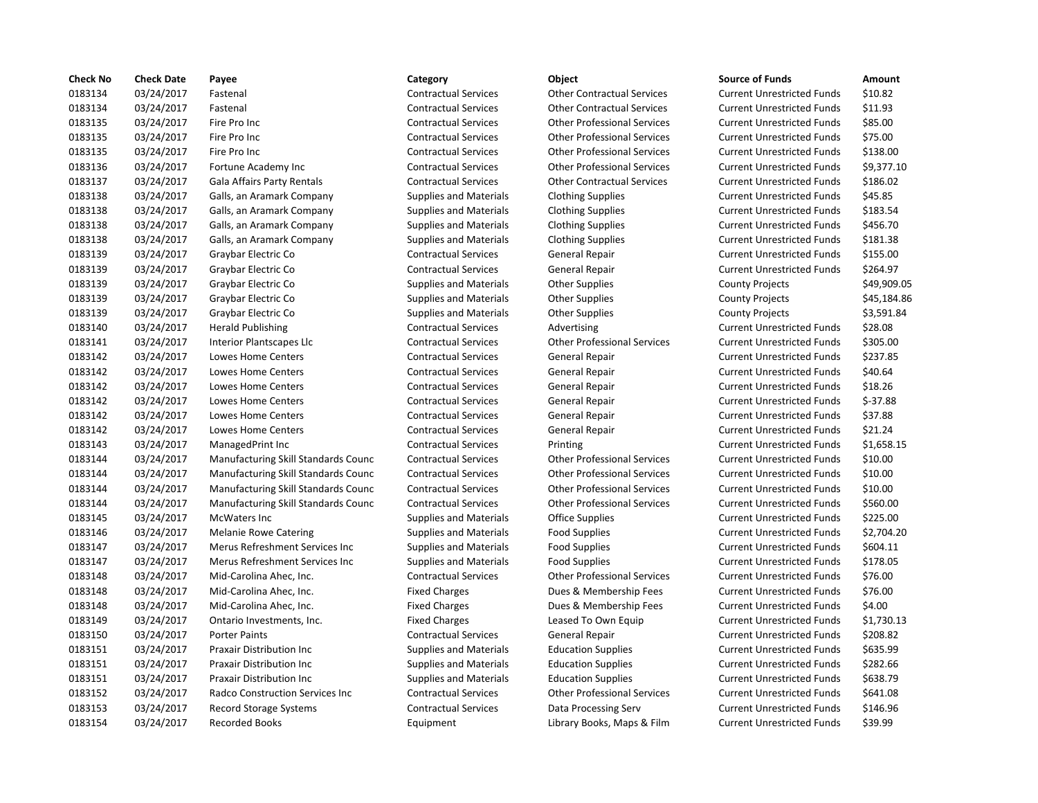| <b>Check No</b> | <b>Check Date</b> | Payee                                   | Category                      | Object                             | <b>Source of Funds</b>            | Amount    |
|-----------------|-------------------|-----------------------------------------|-------------------------------|------------------------------------|-----------------------------------|-----------|
| 0183134         | 03/24/2017        | Fastenal                                | <b>Contractual Services</b>   | <b>Other Contractual Services</b>  | <b>Current Unrestricted Funds</b> | \$10.82   |
| 0183134         | 03/24/2017        | Fastenal                                | <b>Contractual Services</b>   | <b>Other Contractual Services</b>  | <b>Current Unrestricted Funds</b> | \$11.93   |
| 0183135         | 03/24/2017        | Fire Pro Inc                            | <b>Contractual Services</b>   | <b>Other Professional Services</b> | <b>Current Unrestricted Funds</b> | \$85.00   |
| 0183135         | 03/24/2017        | Fire Pro Inc                            | <b>Contractual Services</b>   | <b>Other Professional Services</b> | <b>Current Unrestricted Funds</b> | \$75.00   |
| 0183135         | 03/24/2017        | Fire Pro Inc                            | <b>Contractual Services</b>   | <b>Other Professional Services</b> | <b>Current Unrestricted Funds</b> | \$138.00  |
| 0183136         | 03/24/2017        | Fortune Academy Inc                     | <b>Contractual Services</b>   | <b>Other Professional Services</b> | <b>Current Unrestricted Funds</b> | \$9,377.1 |
| 0183137         | 03/24/2017        | Gala Affairs Party Rentals              | <b>Contractual Services</b>   | <b>Other Contractual Services</b>  | <b>Current Unrestricted Funds</b> | \$186.02  |
| 0183138         | 03/24/2017        | Galls, an Aramark Company               | <b>Supplies and Materials</b> | <b>Clothing Supplies</b>           | <b>Current Unrestricted Funds</b> | \$45.85   |
| 0183138         | 03/24/2017        | Galls, an Aramark Company               | <b>Supplies and Materials</b> | <b>Clothing Supplies</b>           | <b>Current Unrestricted Funds</b> | \$183.54  |
| 0183138         | 03/24/2017        | Galls, an Aramark Company               | <b>Supplies and Materials</b> | <b>Clothing Supplies</b>           | <b>Current Unrestricted Funds</b> | \$456.70  |
| 0183138         | 03/24/2017        | Galls, an Aramark Company               | <b>Supplies and Materials</b> | <b>Clothing Supplies</b>           | <b>Current Unrestricted Funds</b> | \$181.38  |
| 0183139         | 03/24/2017        | Graybar Electric Co                     | <b>Contractual Services</b>   | <b>General Repair</b>              | <b>Current Unrestricted Funds</b> | \$155.00  |
| 0183139         | 03/24/2017        | Graybar Electric Co                     | <b>Contractual Services</b>   | <b>General Repair</b>              | <b>Current Unrestricted Funds</b> | \$264.97  |
| 0183139         | 03/24/2017        | Graybar Electric Co                     | <b>Supplies and Materials</b> | <b>Other Supplies</b>              | <b>County Projects</b>            | \$49,909  |
| 0183139         | 03/24/2017        | Graybar Electric Co                     | <b>Supplies and Materials</b> | <b>Other Supplies</b>              | <b>County Projects</b>            | \$45,184  |
| 0183139         | 03/24/2017        | Graybar Electric Co                     | <b>Supplies and Materials</b> | <b>Other Supplies</b>              | <b>County Projects</b>            | \$3,591.8 |
| 0183140         | 03/24/2017        | <b>Herald Publishing</b>                | <b>Contractual Services</b>   | Advertising                        | <b>Current Unrestricted Funds</b> | \$28.08   |
| 0183141         | 03/24/2017        | Interior Plantscapes Llc                | <b>Contractual Services</b>   | <b>Other Professional Services</b> | <b>Current Unrestricted Funds</b> | \$305.00  |
| 0183142         | 03/24/2017        | Lowes Home Centers                      | <b>Contractual Services</b>   | General Repair                     | <b>Current Unrestricted Funds</b> | \$237.85  |
| 0183142         | 03/24/2017        | Lowes Home Centers                      | <b>Contractual Services</b>   | General Repair                     | <b>Current Unrestricted Funds</b> | \$40.64   |
| 0183142         | 03/24/2017        | Lowes Home Centers                      | <b>Contractual Services</b>   | <b>General Repair</b>              | <b>Current Unrestricted Funds</b> | \$18.26   |
| 0183142         | 03/24/2017        | Lowes Home Centers                      | <b>Contractual Services</b>   | General Repair                     | <b>Current Unrestricted Funds</b> | $$-37.88$ |
| 0183142         | 03/24/2017        | Lowes Home Centers                      | <b>Contractual Services</b>   | <b>General Repair</b>              | <b>Current Unrestricted Funds</b> | \$37.88   |
| 0183142         | 03/24/2017        | Lowes Home Centers                      | <b>Contractual Services</b>   | <b>General Repair</b>              | <b>Current Unrestricted Funds</b> | \$21.24   |
| 0183143         | 03/24/2017        | ManagedPrint Inc                        | <b>Contractual Services</b>   | Printing                           | <b>Current Unrestricted Funds</b> | \$1,658.1 |
| 0183144         | 03/24/2017        | Manufacturing Skill Standards Counc     | <b>Contractual Services</b>   | <b>Other Professional Services</b> | <b>Current Unrestricted Funds</b> | \$10.00   |
| 0183144         | 03/24/2017        | Manufacturing Skill Standards Counc     | <b>Contractual Services</b>   | <b>Other Professional Services</b> | <b>Current Unrestricted Funds</b> | \$10.00   |
| 0183144         | 03/24/2017        | Manufacturing Skill Standards Counc     | <b>Contractual Services</b>   | <b>Other Professional Services</b> | <b>Current Unrestricted Funds</b> | \$10.00   |
| 0183144         | 03/24/2017        | Manufacturing Skill Standards Counc     | <b>Contractual Services</b>   | <b>Other Professional Services</b> | <b>Current Unrestricted Funds</b> | \$560.00  |
| 0183145         | 03/24/2017        | McWaters Inc                            | <b>Supplies and Materials</b> | <b>Office Supplies</b>             | <b>Current Unrestricted Funds</b> | \$225.00  |
| 0183146         | 03/24/2017        | <b>Melanie Rowe Catering</b>            | <b>Supplies and Materials</b> | <b>Food Supplies</b>               | <b>Current Unrestricted Funds</b> | \$2,704.2 |
| 0183147         | 03/24/2017        | Merus Refreshment Services Inc          | <b>Supplies and Materials</b> | <b>Food Supplies</b>               | <b>Current Unrestricted Funds</b> | \$604.11  |
| 0183147         | 03/24/2017        | Merus Refreshment Services Inc          | <b>Supplies and Materials</b> | <b>Food Supplies</b>               | <b>Current Unrestricted Funds</b> | \$178.05  |
| 0183148         | 03/24/2017        | Mid-Carolina Ahec, Inc.                 | <b>Contractual Services</b>   | <b>Other Professional Services</b> | <b>Current Unrestricted Funds</b> | \$76.00   |
| 0183148         | 03/24/2017        | Mid-Carolina Ahec, Inc.                 | <b>Fixed Charges</b>          | Dues & Membership Fees             | <b>Current Unrestricted Funds</b> | \$76.00   |
| 0183148         | 03/24/2017        | Mid-Carolina Ahec, Inc.                 | <b>Fixed Charges</b>          | Dues & Membership Fees             | <b>Current Unrestricted Funds</b> | \$4.00    |
| 0183149         | 03/24/2017        | Ontario Investments, Inc.               | <b>Fixed Charges</b>          | Leased To Own Equip                | <b>Current Unrestricted Funds</b> | \$1,730.1 |
| 0183150         | 03/24/2017        | <b>Porter Paints</b>                    | <b>Contractual Services</b>   | General Repair                     | <b>Current Unrestricted Funds</b> | \$208.82  |
| 0183151         | 03/24/2017        | Praxair Distribution Inc                | <b>Supplies and Materials</b> | <b>Education Supplies</b>          | <b>Current Unrestricted Funds</b> | \$635.99  |
| 0183151         | 03/24/2017        | Praxair Distribution Inc                | <b>Supplies and Materials</b> | <b>Education Supplies</b>          | <b>Current Unrestricted Funds</b> | \$282.66  |
| 0183151         | 03/24/2017        | Praxair Distribution Inc                | <b>Supplies and Materials</b> | <b>Education Supplies</b>          | <b>Current Unrestricted Funds</b> | \$638.79  |
| 0183152         | 03/24/2017        | <b>Radco Construction Services Inc.</b> | <b>Contractual Services</b>   | <b>Other Professional Services</b> | <b>Current Unrestricted Funds</b> | \$641.08  |
| 0183153         | 03/24/2017        | <b>Record Storage Systems</b>           | <b>Contractual Services</b>   | Data Processing Serv               | <b>Current Unrestricted Funds</b> | \$146.96  |
| 0183154         | 03/24/2017        | <b>Recorded Books</b>                   | Equipment                     | Library Books, Maps & Film         | <b>Current Unrestricted Funds</b> | \$39.99   |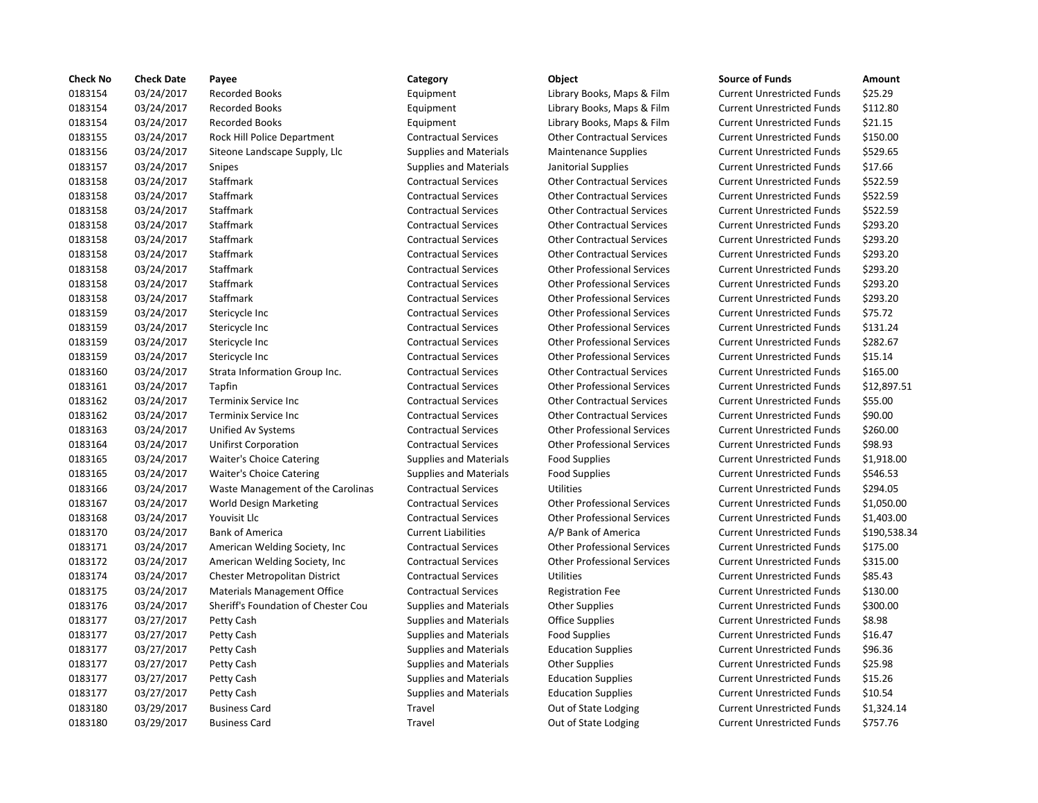| <b>Check No</b> | <b>Check Date</b> | Payee                               | Category                      | Object                             | <b>Source of Funds</b>            | Amount    |
|-----------------|-------------------|-------------------------------------|-------------------------------|------------------------------------|-----------------------------------|-----------|
| 0183154         | 03/24/2017        | <b>Recorded Books</b>               | Equipment                     | Library Books, Maps & Film         | <b>Current Unrestricted Funds</b> | \$25.29   |
| 0183154         | 03/24/2017        | <b>Recorded Books</b>               | Equipment                     | Library Books, Maps & Film         | <b>Current Unrestricted Funds</b> | \$112.80  |
| 0183154         | 03/24/2017        | <b>Recorded Books</b>               | Equipment                     | Library Books, Maps & Film         | <b>Current Unrestricted Funds</b> | \$21.15   |
| 0183155         | 03/24/2017        | Rock Hill Police Department         | <b>Contractual Services</b>   | <b>Other Contractual Services</b>  | <b>Current Unrestricted Funds</b> | \$150.00  |
| 0183156         | 03/24/2017        | Siteone Landscape Supply, Llc       | <b>Supplies and Materials</b> | <b>Maintenance Supplies</b>        | <b>Current Unrestricted Funds</b> | \$529.65  |
| 0183157         | 03/24/2017        | <b>Snipes</b>                       | <b>Supplies and Materials</b> | Janitorial Supplies                | <b>Current Unrestricted Funds</b> | \$17.66   |
| 0183158         | 03/24/2017        | Staffmark                           | <b>Contractual Services</b>   | <b>Other Contractual Services</b>  | <b>Current Unrestricted Funds</b> | \$522.59  |
| 0183158         | 03/24/2017        | Staffmark                           | <b>Contractual Services</b>   | <b>Other Contractual Services</b>  | <b>Current Unrestricted Funds</b> | \$522.59  |
| 0183158         | 03/24/2017        | Staffmark                           | <b>Contractual Services</b>   | <b>Other Contractual Services</b>  | <b>Current Unrestricted Funds</b> | \$522.59  |
| 0183158         | 03/24/2017        | Staffmark                           | <b>Contractual Services</b>   | <b>Other Contractual Services</b>  | <b>Current Unrestricted Funds</b> | \$293.20  |
| 0183158         | 03/24/2017        | Staffmark                           | <b>Contractual Services</b>   | <b>Other Contractual Services</b>  | <b>Current Unrestricted Funds</b> | \$293.20  |
| 0183158         | 03/24/2017        | Staffmark                           | <b>Contractual Services</b>   | <b>Other Contractual Services</b>  | <b>Current Unrestricted Funds</b> | \$293.20  |
| 0183158         | 03/24/2017        | Staffmark                           | <b>Contractual Services</b>   | <b>Other Professional Services</b> | <b>Current Unrestricted Funds</b> | \$293.20  |
| 0183158         | 03/24/2017        | Staffmark                           | <b>Contractual Services</b>   | <b>Other Professional Services</b> | <b>Current Unrestricted Funds</b> | \$293.20  |
| 0183158         | 03/24/2017        | Staffmark                           | <b>Contractual Services</b>   | <b>Other Professional Services</b> | <b>Current Unrestricted Funds</b> | \$293.20  |
| 0183159         | 03/24/2017        | Stericycle Inc                      | <b>Contractual Services</b>   | <b>Other Professional Services</b> | <b>Current Unrestricted Funds</b> | \$75.72   |
| 0183159         | 03/24/2017        | Stericycle Inc                      | <b>Contractual Services</b>   | <b>Other Professional Services</b> | <b>Current Unrestricted Funds</b> | \$131.24  |
| 0183159         | 03/24/2017        | Stericycle Inc                      | <b>Contractual Services</b>   | <b>Other Professional Services</b> | <b>Current Unrestricted Funds</b> | \$282.67  |
| 0183159         | 03/24/2017        | Stericycle Inc                      | <b>Contractual Services</b>   | <b>Other Professional Services</b> | <b>Current Unrestricted Funds</b> | \$15.14   |
| 0183160         | 03/24/2017        | Strata Information Group Inc.       | <b>Contractual Services</b>   | <b>Other Contractual Services</b>  | <b>Current Unrestricted Funds</b> | \$165.00  |
| 0183161         | 03/24/2017        | Tapfin                              | <b>Contractual Services</b>   | <b>Other Professional Services</b> | <b>Current Unrestricted Funds</b> | \$12,897  |
| 0183162         | 03/24/2017        | Terminix Service Inc                | <b>Contractual Services</b>   | <b>Other Contractual Services</b>  | <b>Current Unrestricted Funds</b> | \$55.00   |
| 0183162         | 03/24/2017        | Terminix Service Inc                | <b>Contractual Services</b>   | <b>Other Contractual Services</b>  | <b>Current Unrestricted Funds</b> | \$90.00   |
| 0183163         | 03/24/2017        | Unified Av Systems                  | <b>Contractual Services</b>   | <b>Other Professional Services</b> | <b>Current Unrestricted Funds</b> | \$260.00  |
| 0183164         | 03/24/2017        | <b>Unifirst Corporation</b>         | <b>Contractual Services</b>   | <b>Other Professional Services</b> | <b>Current Unrestricted Funds</b> | \$98.93   |
| 0183165         | 03/24/2017        | <b>Waiter's Choice Catering</b>     | <b>Supplies and Materials</b> | <b>Food Supplies</b>               | <b>Current Unrestricted Funds</b> | \$1,918.0 |
| 0183165         | 03/24/2017        | <b>Waiter's Choice Catering</b>     | <b>Supplies and Materials</b> | <b>Food Supplies</b>               | <b>Current Unrestricted Funds</b> | \$546.53  |
| 0183166         | 03/24/2017        | Waste Management of the Carolinas   | <b>Contractual Services</b>   | <b>Utilities</b>                   | <b>Current Unrestricted Funds</b> | \$294.05  |
| 0183167         | 03/24/2017        | World Design Marketing              | <b>Contractual Services</b>   | <b>Other Professional Services</b> | <b>Current Unrestricted Funds</b> | \$1,050.0 |
| 0183168         | 03/24/2017        | Youvisit Llc                        | <b>Contractual Services</b>   | <b>Other Professional Services</b> | <b>Current Unrestricted Funds</b> | \$1,403.0 |
| 0183170         | 03/24/2017        | <b>Bank of America</b>              | <b>Current Liabilities</b>    | A/P Bank of America                | <b>Current Unrestricted Funds</b> | \$190,53  |
| 0183171         | 03/24/2017        | American Welding Society, Inc.      | <b>Contractual Services</b>   | <b>Other Professional Services</b> | <b>Current Unrestricted Funds</b> | \$175.00  |
| 0183172         | 03/24/2017        | American Welding Society, Inc.      | <b>Contractual Services</b>   | <b>Other Professional Services</b> | <b>Current Unrestricted Funds</b> | \$315.00  |
| 0183174         | 03/24/2017        | Chester Metropolitan District       | <b>Contractual Services</b>   | <b>Utilities</b>                   | <b>Current Unrestricted Funds</b> | \$85.43   |
| 0183175         | 03/24/2017        | <b>Materials Management Office</b>  | <b>Contractual Services</b>   | <b>Registration Fee</b>            | <b>Current Unrestricted Funds</b> | \$130.00  |
| 0183176         | 03/24/2017        | Sheriff's Foundation of Chester Cou | <b>Supplies and Materials</b> | <b>Other Supplies</b>              | <b>Current Unrestricted Funds</b> | \$300.00  |
| 0183177         | 03/27/2017        | Petty Cash                          | <b>Supplies and Materials</b> | <b>Office Supplies</b>             | <b>Current Unrestricted Funds</b> | \$8.98    |
| 0183177         | 03/27/2017        | Petty Cash                          | <b>Supplies and Materials</b> | <b>Food Supplies</b>               | <b>Current Unrestricted Funds</b> | \$16.47   |
| 0183177         | 03/27/2017        | Petty Cash                          | <b>Supplies and Materials</b> | <b>Education Supplies</b>          | <b>Current Unrestricted Funds</b> | \$96.36   |
| 0183177         | 03/27/2017        | Petty Cash                          | <b>Supplies and Materials</b> | <b>Other Supplies</b>              | <b>Current Unrestricted Funds</b> | \$25.98   |
| 0183177         | 03/27/2017        | Petty Cash                          | <b>Supplies and Materials</b> | <b>Education Supplies</b>          | <b>Current Unrestricted Funds</b> | \$15.26   |
| 0183177         | 03/27/2017        | Petty Cash                          | <b>Supplies and Materials</b> | <b>Education Supplies</b>          | <b>Current Unrestricted Funds</b> | \$10.54   |
| 0183180         | 03/29/2017        | <b>Business Card</b>                | Travel                        | Out of State Lodging               | <b>Current Unrestricted Funds</b> | \$1,324.1 |
| 0183180         | 03/29/2017        | <b>Business Card</b>                | Travel                        | Out of State Lodging               | <b>Current Unrestricted Funds</b> | \$757.76  |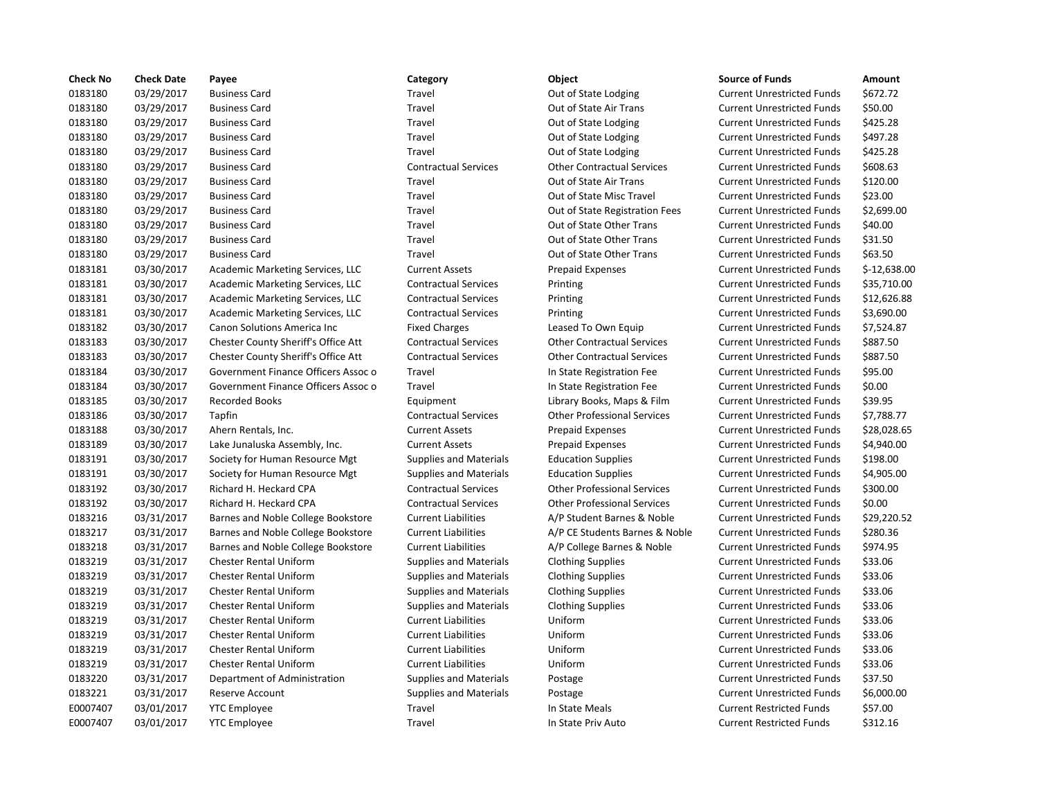| <b>Check No</b> | <b>Check Date</b> | Payee                                      | Category                      | Object                             | <b>Source of Funds</b>            | Amount     |
|-----------------|-------------------|--------------------------------------------|-------------------------------|------------------------------------|-----------------------------------|------------|
| 0183180         | 03/29/2017        | <b>Business Card</b>                       | Travel                        | Out of State Lodging               | <b>Current Unrestricted Funds</b> | \$672.72   |
| 0183180         | 03/29/2017        | <b>Business Card</b>                       | Travel                        | Out of State Air Trans             | <b>Current Unrestricted Funds</b> | \$50.00    |
| 0183180         | 03/29/2017        | <b>Business Card</b>                       | Travel                        | Out of State Lodging               | <b>Current Unrestricted Funds</b> | \$425.28   |
| 0183180         | 03/29/2017        | <b>Business Card</b>                       | Travel                        | Out of State Lodging               | <b>Current Unrestricted Funds</b> | \$497.28   |
| 0183180         | 03/29/2017        | <b>Business Card</b>                       | Travel                        | Out of State Lodging               | <b>Current Unrestricted Funds</b> | \$425.28   |
| 0183180         | 03/29/2017        | <b>Business Card</b>                       | <b>Contractual Services</b>   | <b>Other Contractual Services</b>  | <b>Current Unrestricted Funds</b> | \$608.63   |
| 0183180         | 03/29/2017        | <b>Business Card</b>                       | Travel                        | Out of State Air Trans             | <b>Current Unrestricted Funds</b> | \$120.00   |
| 0183180         | 03/29/2017        | <b>Business Card</b>                       | Travel                        | Out of State Misc Travel           | <b>Current Unrestricted Funds</b> | \$23.00    |
| 0183180         | 03/29/2017        | <b>Business Card</b>                       | Travel                        | Out of State Registration Fees     | <b>Current Unrestricted Funds</b> | \$2,699.0  |
| 0183180         | 03/29/2017        | <b>Business Card</b>                       | Travel                        | Out of State Other Trans           | <b>Current Unrestricted Funds</b> | \$40.00    |
| 0183180         | 03/29/2017        | <b>Business Card</b>                       | Travel                        | Out of State Other Trans           | <b>Current Unrestricted Funds</b> | \$31.50    |
| 0183180         | 03/29/2017        | <b>Business Card</b>                       | Travel                        | Out of State Other Trans           | <b>Current Unrestricted Funds</b> | \$63.50    |
| 0183181         | 03/30/2017        | Academic Marketing Services, LLC           | <b>Current Assets</b>         | <b>Prepaid Expenses</b>            | <b>Current Unrestricted Funds</b> | $$-12,638$ |
| 0183181         | 03/30/2017        | Academic Marketing Services, LLC           | <b>Contractual Services</b>   | Printing                           | <b>Current Unrestricted Funds</b> | \$35,710   |
| 0183181         | 03/30/2017        | Academic Marketing Services, LLC           | <b>Contractual Services</b>   | Printing                           | <b>Current Unrestricted Funds</b> | \$12,626   |
| 0183181         | 03/30/2017        | Academic Marketing Services, LLC           | <b>Contractual Services</b>   | Printing                           | <b>Current Unrestricted Funds</b> | \$3,690.0  |
| 0183182         | 03/30/2017        | Canon Solutions America Inc                | <b>Fixed Charges</b>          | Leased To Own Equip                | <b>Current Unrestricted Funds</b> | \$7,524.8  |
| 0183183         | 03/30/2017        | <b>Chester County Sheriff's Office Att</b> | <b>Contractual Services</b>   | <b>Other Contractual Services</b>  | <b>Current Unrestricted Funds</b> | \$887.50   |
| 0183183         | 03/30/2017        | <b>Chester County Sheriff's Office Att</b> | <b>Contractual Services</b>   | <b>Other Contractual Services</b>  | <b>Current Unrestricted Funds</b> | \$887.50   |
| 0183184         | 03/30/2017        | Government Finance Officers Assoc o        | Travel                        | In State Registration Fee          | <b>Current Unrestricted Funds</b> | \$95.00    |
| 0183184         | 03/30/2017        | Government Finance Officers Assoc o        | Travel                        | In State Registration Fee          | <b>Current Unrestricted Funds</b> | \$0.00     |
| 0183185         | 03/30/2017        | <b>Recorded Books</b>                      | Equipment                     | Library Books, Maps & Film         | <b>Current Unrestricted Funds</b> | \$39.95    |
| 0183186         | 03/30/2017        | Tapfin                                     | <b>Contractual Services</b>   | <b>Other Professional Services</b> | <b>Current Unrestricted Funds</b> | \$7,788.7  |
| 0183188         | 03/30/2017        | Ahern Rentals, Inc.                        | <b>Current Assets</b>         | <b>Prepaid Expenses</b>            | <b>Current Unrestricted Funds</b> | \$28,028   |
| 0183189         | 03/30/2017        | Lake Junaluska Assembly, Inc.              | <b>Current Assets</b>         | <b>Prepaid Expenses</b>            | <b>Current Unrestricted Funds</b> | \$4,940.0  |
| 0183191         | 03/30/2017        | Society for Human Resource Mgt             | <b>Supplies and Materials</b> | <b>Education Supplies</b>          | <b>Current Unrestricted Funds</b> | \$198.00   |
| 0183191         | 03/30/2017        | Society for Human Resource Mgt             | <b>Supplies and Materials</b> | <b>Education Supplies</b>          | <b>Current Unrestricted Funds</b> | \$4,905.0  |
| 0183192         | 03/30/2017        | Richard H. Heckard CPA                     | <b>Contractual Services</b>   | <b>Other Professional Services</b> | <b>Current Unrestricted Funds</b> | \$300.00   |
| 0183192         | 03/30/2017        | Richard H. Heckard CPA                     | <b>Contractual Services</b>   | <b>Other Professional Services</b> | <b>Current Unrestricted Funds</b> | \$0.00     |
| 0183216         | 03/31/2017        | Barnes and Noble College Bookstore         | <b>Current Liabilities</b>    | A/P Student Barnes & Noble         | <b>Current Unrestricted Funds</b> | \$29,220   |
| 0183217         | 03/31/2017        | Barnes and Noble College Bookstore         | <b>Current Liabilities</b>    | A/P CE Students Barnes & Noble     | <b>Current Unrestricted Funds</b> | \$280.36   |
| 0183218         | 03/31/2017        | Barnes and Noble College Bookstore         | <b>Current Liabilities</b>    | A/P College Barnes & Noble         | <b>Current Unrestricted Funds</b> | \$974.95   |
| 0183219         | 03/31/2017        | <b>Chester Rental Uniform</b>              | <b>Supplies and Materials</b> | <b>Clothing Supplies</b>           | <b>Current Unrestricted Funds</b> | \$33.06    |
| 0183219         | 03/31/2017        | <b>Chester Rental Uniform</b>              | <b>Supplies and Materials</b> | <b>Clothing Supplies</b>           | <b>Current Unrestricted Funds</b> | \$33.06    |
| 0183219         | 03/31/2017        | <b>Chester Rental Uniform</b>              | <b>Supplies and Materials</b> | <b>Clothing Supplies</b>           | <b>Current Unrestricted Funds</b> | \$33.06    |
| 0183219         | 03/31/2017        | <b>Chester Rental Uniform</b>              | <b>Supplies and Materials</b> | <b>Clothing Supplies</b>           | <b>Current Unrestricted Funds</b> | \$33.06    |
| 0183219         | 03/31/2017        | <b>Chester Rental Uniform</b>              | <b>Current Liabilities</b>    | Uniform                            | <b>Current Unrestricted Funds</b> | \$33.06    |
| 0183219         | 03/31/2017        | <b>Chester Rental Uniform</b>              | <b>Current Liabilities</b>    | Uniform                            | <b>Current Unrestricted Funds</b> | \$33.06    |
| 0183219         | 03/31/2017        | Chester Rental Uniform                     | <b>Current Liabilities</b>    | Uniform                            | <b>Current Unrestricted Funds</b> | \$33.06    |
| 0183219         | 03/31/2017        | <b>Chester Rental Uniform</b>              | <b>Current Liabilities</b>    | Uniform                            | <b>Current Unrestricted Funds</b> | \$33.06    |
| 0183220         | 03/31/2017        | Department of Administration               | <b>Supplies and Materials</b> | Postage                            | <b>Current Unrestricted Funds</b> | \$37.50    |
| 0183221         | 03/31/2017        | Reserve Account                            | <b>Supplies and Materials</b> | Postage                            | <b>Current Unrestricted Funds</b> | \$6,000.0  |
| E0007407        | 03/01/2017        | <b>YTC Employee</b>                        | Travel                        | In State Meals                     | <b>Current Restricted Funds</b>   | \$57.00    |
| E0007407        | 03/01/2017        | <b>YTC Employee</b>                        | Travel                        | In State Priv Auto                 | <b>Current Restricted Funds</b>   | \$312.16   |

# Travel **1831** Out of State Lodging Current Unrestricted Funds \$672.72 Travel **2018** Out of State Air Trans Current Unrestricted Funds 550.00 Travel **1831** Out of State Lodging Current Unrestricted Funds 5425.28 Travel **2018** Out of State Lodging Current Unrestricted Funds \$497.28 Travel **1831** Out of State Lodging Current Unrestricted Funds \$425.28 Contractual Services **Other Contractual Services** Current Unrestricted Funds \$608.63 Travel **12018** Out of State Air Trans Current Unrestricted Funds \$120.00 Travel **23.00** Out of State Misc Travel Current Unrestricted Funds \$23.00 Travel **218180** Out of State Registration Fees Current Unrestricted Funds \$2,699.00 Travel **240.00** Out of State Other Trans Current Unrestricted Funds \$40.00 Travel **2008** Out of State Other Trans Current Unrestricted Funds 531.50 Travel **1831** Out of State Other Trans Current Unrestricted Funds \$63.50 0183181 03/30/2017 Academic Marketing Services, LLC Current Assets Prepaid Expenses Current Unrestricted Funds \$-12,638.00 0183181 03/30/2017 Academic Marketing Services, LLC Contractual Services Printing Current Unrestricted Funds \$35,710.00 0183181 03/30/2017 Academic Marketing Services, LLC Contractual Services Printing Current Unrestricted Funds \$12,626.88 0183181 03/30/2017 Academic Marketing Services, LLC Contractual Services Printing Current Unrestricted Funds \$3,690.00 Fixed Charges **Deased To Own Equip Current Unrestricted Funds** \$7,524.87 Att Contractual Services Other Contractual Services Current Unrestricted Funds \$887.50 0183183 03/30/2017 Chester County Sheriff's Office Att Contractual Services Other Contractual Services Current Unrestricted Funds \$887.50 0183184 03/30/2017 Government Finance Officers Assoc o Travel In State Registration Fee Current Unrestricted Funds \$95.00 oco Travel and Travel In State Registration Fee Current Unrestricted Funds \$0.00 0183185 03/30/2017 Recorded Books Equipment Library Books, Maps & Film Current Unrestricted Funds \$39.95 0183186 03/30/2017 Tapfin Contractual Services Other Professional Services Current Unrestricted Funds \$7,788.77 0183188 03/30/2017 Ahern Rentals, Inc. Current Assets Prepaid Expenses Current Unrestricted Funds \$28,028.65 Ourrent Assets **1.2017 Current Assets** Prepaid Expenses Current Unrestricted Funds \$4,940.00 0183191 03/30/2017 Society for Human Resource Mgt Supplies and Materials Education Supplies Current Unrestricted Funds \$198.00 t 5upplies and Materials and Education Supplies Current Unrestricted Funds 54,905.00 0183192 03/30/2017 Richard H. Heckard CPA Contractual Services Other Professional Services Current Unrestricted Funds \$300.00 Contractual Services **Other Professional Services** Current Unrestricted Funds \$0.00 0183216 03/31/2017 Barnes and Noble College Bookstore Current Liabilities A/P Student Barnes & Noble Current Unrestricted Funds \$29,220.52 orde Current Liabilities **A/P CE Students Barnes & Noble** Current Unrestricted Funds \$280.36 ond Current Liabilities A/P College Barnes & Noble Current Unrestricted Funds \$974.95 0183219 03/31/2017 Chester Rental Uniform Supplies and Materials Clothing Supplies Current Unrestricted Funds \$33.06 0183219 03/31/2017 Chester Rental Uniform Supplies and Materials Clothing Supplies Current Unrestricted Funds \$33.06 0183219 03/31/2017 Chester Rental Uniform Supplies and Materials Clothing Supplies Current Unrestricted Funds \$33.06 0183219 03/31/2017 Chester Rental Uniform Supplies and Materials Clothing Supplies Current Unrestricted Funds \$33.06 0183219 03/31/2017 Chester Rental Uniform Current Liabilities Uniform Current Unrestricted Funds \$33.06 0183219 03/31/2017 Chester Rental Uniform Current Liabilities Uniform Current Unrestricted Funds \$33.06 0183219 03/31/2017 Chester Rental Uniform Current Liabilities Uniform Current Unrestricted Funds \$33.06 0183219 03/31/2017 Chester Rental Uniform Current Liabilities Uniform Current Unrestricted Funds \$33.06 0183220 03/31/2017 Department of Administration Supplies and Materials Postage Current Unrestricted Funds \$37.50 0183221 03/31/2017 Reserve Account Supplies and Materials Postage Current Unrestricted Funds \$6,000.00 Travel **EXECUTE:** In State Meals Current Restricted Funds \$57.00 Travel Travel **In State Priv Auto** Current Restricted Funds \$312.16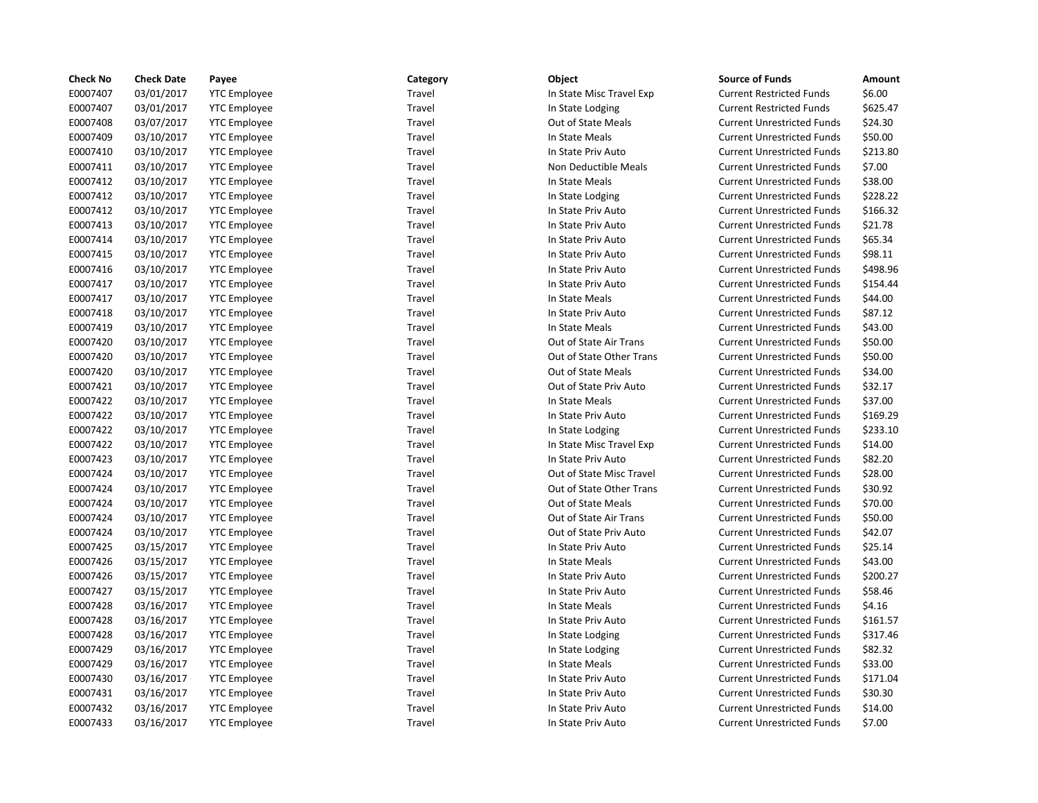| <b>Check No</b> | <b>Check Date</b> | Payee               | Category | Object                    | <b>Source of Funds</b>            | Amount   |
|-----------------|-------------------|---------------------|----------|---------------------------|-----------------------------------|----------|
| E0007407        | 03/01/2017        | <b>YTC Employee</b> | Travel   | In State Misc Travel Exp  | <b>Current Restricted Funds</b>   | \$6.00   |
| E0007407        | 03/01/2017        | <b>YTC Employee</b> | Travel   | In State Lodging          | <b>Current Restricted Funds</b>   | \$625.47 |
| E0007408        | 03/07/2017        | <b>YTC</b> Employee | Travel   | Out of State Meals        | <b>Current Unrestricted Funds</b> | \$24.30  |
| E0007409        | 03/10/2017        | <b>YTC Employee</b> | Travel   | In State Meals            | <b>Current Unrestricted Funds</b> | \$50.00  |
| E0007410        | 03/10/2017        | <b>YTC</b> Employee | Travel   | In State Priv Auto        | <b>Current Unrestricted Funds</b> | \$213.80 |
| E0007411        | 03/10/2017        | <b>YTC Employee</b> | Travel   | Non Deductible Meals      | <b>Current Unrestricted Funds</b> | \$7.00   |
| E0007412        | 03/10/2017        | <b>YTC Employee</b> | Travel   | In State Meals            | <b>Current Unrestricted Funds</b> | \$38.00  |
| E0007412        | 03/10/2017        | <b>YTC</b> Employee | Travel   | In State Lodging          | <b>Current Unrestricted Funds</b> | \$228.22 |
| E0007412        | 03/10/2017        | <b>YTC Employee</b> | Travel   | In State Priv Auto        | <b>Current Unrestricted Funds</b> | \$166.32 |
| E0007413        | 03/10/2017        | <b>YTC Employee</b> | Travel   | In State Priv Auto        | <b>Current Unrestricted Funds</b> | \$21.78  |
| E0007414        | 03/10/2017        | <b>YTC Employee</b> | Travel   | In State Priv Auto        | <b>Current Unrestricted Funds</b> | \$65.34  |
| E0007415        | 03/10/2017        | <b>YTC Employee</b> | Travel   | In State Priv Auto        | <b>Current Unrestricted Funds</b> | \$98.11  |
| E0007416        | 03/10/2017        | <b>YTC Employee</b> | Travel   | In State Priv Auto        | <b>Current Unrestricted Funds</b> | \$498.96 |
| E0007417        | 03/10/2017        | <b>YTC</b> Employee | Travel   | In State Priv Auto        | <b>Current Unrestricted Funds</b> | \$154.44 |
| E0007417        | 03/10/2017        | <b>YTC Employee</b> | Travel   | In State Meals            | <b>Current Unrestricted Funds</b> | \$44.00  |
| E0007418        | 03/10/2017        | <b>YTC Employee</b> | Travel   | In State Priv Auto        | <b>Current Unrestricted Funds</b> | \$87.12  |
| E0007419        | 03/10/2017        | <b>YTC Employee</b> | Travel   | In State Meals            | <b>Current Unrestricted Funds</b> | \$43.00  |
| E0007420        | 03/10/2017        | <b>YTC Employee</b> | Travel   | Out of State Air Trans    | <b>Current Unrestricted Funds</b> | \$50.00  |
| E0007420        | 03/10/2017        | <b>YTC Employee</b> | Travel   | Out of State Other Trans  | <b>Current Unrestricted Funds</b> | \$50.00  |
| E0007420        | 03/10/2017        | <b>YTC Employee</b> | Travel   | Out of State Meals        | <b>Current Unrestricted Funds</b> | \$34.00  |
| E0007421        | 03/10/2017        | <b>YTC Employee</b> | Travel   | Out of State Priv Auto    | <b>Current Unrestricted Funds</b> | \$32.17  |
| E0007422        | 03/10/2017        | <b>YTC Employee</b> | Travel   | In State Meals            | <b>Current Unrestricted Funds</b> | \$37.00  |
| E0007422        | 03/10/2017        | <b>YTC Employee</b> | Travel   | In State Priv Auto        | <b>Current Unrestricted Funds</b> | \$169.29 |
| E0007422        | 03/10/2017        | <b>YTC Employee</b> | Travel   | In State Lodging          | <b>Current Unrestricted Funds</b> | \$233.10 |
| E0007422        | 03/10/2017        | <b>YTC Employee</b> | Travel   | In State Misc Travel Exp  | <b>Current Unrestricted Funds</b> | \$14.00  |
| E0007423        | 03/10/2017        | <b>YTC Employee</b> | Travel   | In State Priv Auto        | <b>Current Unrestricted Funds</b> | \$82.20  |
| E0007424        | 03/10/2017        | <b>YTC Employee</b> | Travel   | Out of State Misc Travel  | <b>Current Unrestricted Funds</b> | \$28.00  |
| E0007424        | 03/10/2017        | <b>YTC Employee</b> | Travel   | Out of State Other Trans  | <b>Current Unrestricted Funds</b> | \$30.92  |
| E0007424        | 03/10/2017        | <b>YTC Employee</b> | Travel   | <b>Out of State Meals</b> | <b>Current Unrestricted Funds</b> | \$70.00  |
| E0007424        | 03/10/2017        | <b>YTC Employee</b> | Travel   | Out of State Air Trans    | <b>Current Unrestricted Funds</b> | \$50.00  |
| E0007424        | 03/10/2017        | <b>YTC Employee</b> | Travel   | Out of State Priv Auto    | <b>Current Unrestricted Funds</b> | \$42.07  |
| E0007425        | 03/15/2017        | <b>YTC Employee</b> | Travel   | In State Priv Auto        | <b>Current Unrestricted Funds</b> | \$25.14  |
| E0007426        | 03/15/2017        | <b>YTC Employee</b> | Travel   | In State Meals            | <b>Current Unrestricted Funds</b> | \$43.00  |
| E0007426        | 03/15/2017        | <b>YTC Employee</b> | Travel   | In State Priv Auto        | <b>Current Unrestricted Funds</b> | \$200.27 |
| E0007427        | 03/15/2017        | <b>YTC Employee</b> | Travel   | In State Priv Auto        | <b>Current Unrestricted Funds</b> | \$58.46  |
| E0007428        | 03/16/2017        | <b>YTC Employee</b> | Travel   | In State Meals            | <b>Current Unrestricted Funds</b> | \$4.16   |
| E0007428        | 03/16/2017        | <b>YTC Employee</b> | Travel   | In State Priv Auto        | <b>Current Unrestricted Funds</b> | \$161.57 |
| E0007428        | 03/16/2017        | <b>YTC Employee</b> | Travel   | In State Lodging          | <b>Current Unrestricted Funds</b> | \$317.46 |
| E0007429        | 03/16/2017        | <b>YTC Employee</b> | Travel   | In State Lodging          | <b>Current Unrestricted Funds</b> | \$82.32  |
| E0007429        | 03/16/2017        | <b>YTC Employee</b> | Travel   | In State Meals            | <b>Current Unrestricted Funds</b> | \$33.00  |
| E0007430        | 03/16/2017        | <b>YTC Employee</b> | Travel   | In State Priv Auto        | <b>Current Unrestricted Funds</b> | \$171.04 |
| E0007431        | 03/16/2017        | <b>YTC Employee</b> | Travel   | In State Priv Auto        | <b>Current Unrestricted Funds</b> | \$30.30  |
| E0007432        | 03/16/2017        | <b>YTC Employee</b> | Travel   | In State Priv Auto        | <b>Current Unrestricted Funds</b> | \$14.00  |
| E0007433        | 03/16/2017        | <b>YTC Employee</b> | Travel   | In State Priv Auto        | <b>Current Unrestricted Funds</b> | \$7.00   |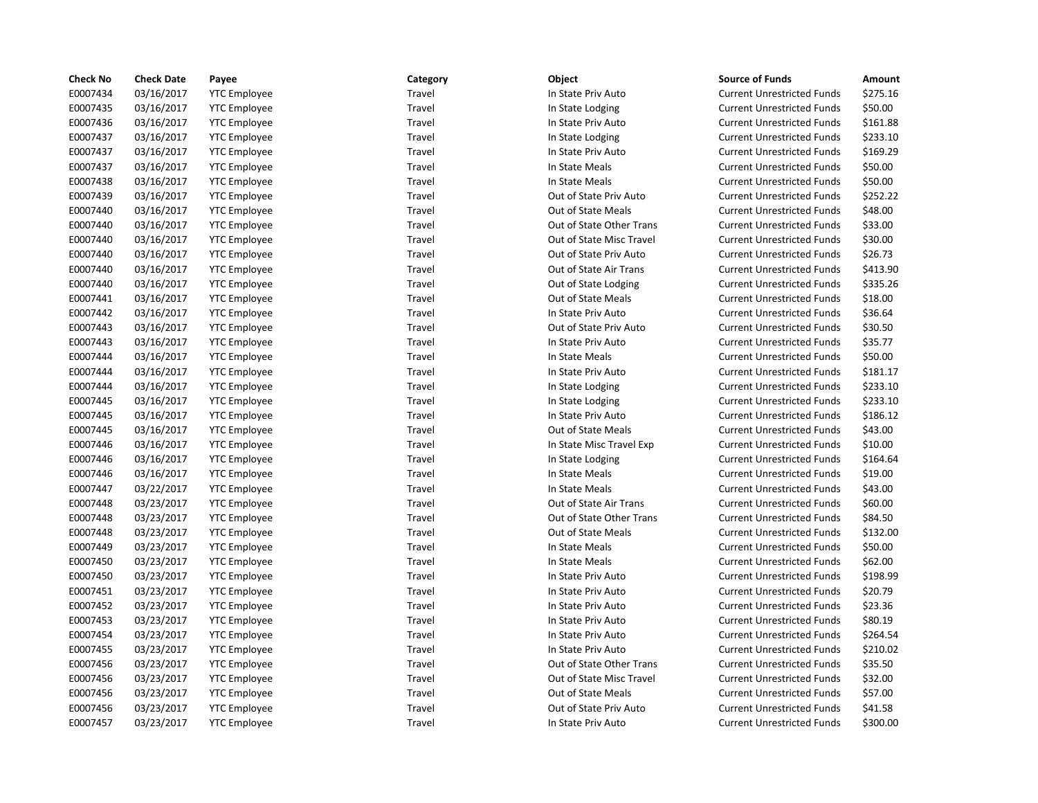| <b>Check No</b> | <b>Check Date</b> | Payee               | Category | Object                   | <b>Source of Funds</b>            | Amount   |
|-----------------|-------------------|---------------------|----------|--------------------------|-----------------------------------|----------|
| E0007434        | 03/16/2017        | <b>YTC Employee</b> | Travel   | In State Priv Auto       | <b>Current Unrestricted Funds</b> | \$275.16 |
| E0007435        | 03/16/2017        | <b>YTC</b> Employee | Travel   | In State Lodging         | <b>Current Unrestricted Funds</b> | \$50.00  |
| E0007436        | 03/16/2017        | <b>YTC</b> Employee | Travel   | In State Priv Auto       | <b>Current Unrestricted Funds</b> | \$161.88 |
| E0007437        | 03/16/2017        | <b>YTC Employee</b> | Travel   | In State Lodging         | <b>Current Unrestricted Funds</b> | \$233.10 |
| E0007437        | 03/16/2017        | <b>YTC</b> Employee | Travel   | In State Priv Auto       | <b>Current Unrestricted Funds</b> | \$169.29 |
| E0007437        | 03/16/2017        | <b>YTC</b> Employee | Travel   | In State Meals           | <b>Current Unrestricted Funds</b> | \$50.00  |
| E0007438        | 03/16/2017        | <b>YTC Employee</b> | Travel   | In State Meals           | <b>Current Unrestricted Funds</b> | \$50.00  |
| E0007439        | 03/16/2017        | <b>YTC Employee</b> | Travel   | Out of State Priv Auto   | <b>Current Unrestricted Funds</b> | \$252.22 |
| E0007440        | 03/16/2017        | <b>YTC</b> Employee | Travel   | Out of State Meals       | <b>Current Unrestricted Funds</b> | \$48.00  |
| E0007440        | 03/16/2017        | <b>YTC</b> Employee | Travel   | Out of State Other Trans | <b>Current Unrestricted Funds</b> | \$33.00  |
| E0007440        | 03/16/2017        | <b>YTC Employee</b> | Travel   | Out of State Misc Travel | <b>Current Unrestricted Funds</b> | \$30.00  |
| E0007440        | 03/16/2017        | <b>YTC</b> Employee | Travel   | Out of State Priv Auto   | <b>Current Unrestricted Funds</b> | \$26.73  |
| E0007440        | 03/16/2017        | <b>YTC</b> Employee | Travel   | Out of State Air Trans   | <b>Current Unrestricted Funds</b> | \$413.90 |
| E0007440        | 03/16/2017        | <b>YTC</b> Employee | Travel   | Out of State Lodging     | <b>Current Unrestricted Funds</b> | \$335.26 |
| E0007441        | 03/16/2017        | <b>YTC</b> Employee | Travel   | Out of State Meals       | <b>Current Unrestricted Funds</b> | \$18.00  |
| E0007442        | 03/16/2017        | <b>YTC Employee</b> | Travel   | In State Priv Auto       | <b>Current Unrestricted Funds</b> | \$36.64  |
| E0007443        | 03/16/2017        | <b>YTC</b> Employee | Travel   | Out of State Priv Auto   | <b>Current Unrestricted Funds</b> | \$30.50  |
| E0007443        | 03/16/2017        | <b>YTC</b> Employee | Travel   | In State Priv Auto       | <b>Current Unrestricted Funds</b> | \$35.77  |
| E0007444        | 03/16/2017        | <b>YTC Employee</b> | Travel   | In State Meals           | <b>Current Unrestricted Funds</b> | \$50.00  |
| E0007444        | 03/16/2017        | <b>YTC Employee</b> | Travel   | In State Priv Auto       | <b>Current Unrestricted Funds</b> | \$181.17 |
| E0007444        | 03/16/2017        | <b>YTC Employee</b> | Travel   | In State Lodging         | <b>Current Unrestricted Funds</b> | \$233.10 |
| E0007445        | 03/16/2017        | <b>YTC</b> Employee | Travel   | In State Lodging         | <b>Current Unrestricted Funds</b> | \$233.10 |
| E0007445        | 03/16/2017        | <b>YTC Employee</b> | Travel   | In State Priv Auto       | <b>Current Unrestricted Funds</b> | \$186.12 |
| E0007445        | 03/16/2017        | <b>YTC Employee</b> | Travel   | Out of State Meals       | <b>Current Unrestricted Funds</b> | \$43.00  |
| E0007446        | 03/16/2017        | <b>YTC Employee</b> | Travel   | In State Misc Travel Exp | <b>Current Unrestricted Funds</b> | \$10.00  |
| E0007446        | 03/16/2017        | <b>YTC Employee</b> | Travel   | In State Lodging         | <b>Current Unrestricted Funds</b> | \$164.64 |
| E0007446        | 03/16/2017        | <b>YTC Employee</b> | Travel   | In State Meals           | <b>Current Unrestricted Funds</b> | \$19.00  |
| E0007447        | 03/22/2017        | <b>YTC Employee</b> | Travel   | In State Meals           | <b>Current Unrestricted Funds</b> | \$43.00  |
| E0007448        | 03/23/2017        | <b>YTC Employee</b> | Travel   | Out of State Air Trans   | <b>Current Unrestricted Funds</b> | \$60.00  |
| E0007448        | 03/23/2017        | <b>YTC Employee</b> | Travel   | Out of State Other Trans | <b>Current Unrestricted Funds</b> | \$84.50  |
| E0007448        | 03/23/2017        | <b>YTC</b> Employee | Travel   | Out of State Meals       | <b>Current Unrestricted Funds</b> | \$132.00 |
| E0007449        | 03/23/2017        | <b>YTC Employee</b> | Travel   | In State Meals           | <b>Current Unrestricted Funds</b> | \$50.00  |
| E0007450        | 03/23/2017        | <b>YTC Employee</b> | Travel   | In State Meals           | <b>Current Unrestricted Funds</b> | \$62.00  |
| E0007450        | 03/23/2017        | <b>YTC Employee</b> | Travel   | In State Priv Auto       | <b>Current Unrestricted Funds</b> | \$198.99 |
| E0007451        | 03/23/2017        | <b>YTC Employee</b> | Travel   | In State Priv Auto       | <b>Current Unrestricted Funds</b> | \$20.79  |
| E0007452        | 03/23/2017        | <b>YTC</b> Employee | Travel   | In State Priv Auto       | <b>Current Unrestricted Funds</b> | \$23.36  |
| E0007453        | 03/23/2017        | <b>YTC</b> Employee | Travel   | In State Priv Auto       | <b>Current Unrestricted Funds</b> | \$80.19  |
| E0007454        | 03/23/2017        | <b>YTC Employee</b> | Travel   | In State Priv Auto       | <b>Current Unrestricted Funds</b> | \$264.54 |
| E0007455        | 03/23/2017        | <b>YTC Employee</b> | Travel   | In State Priv Auto       | <b>Current Unrestricted Funds</b> | \$210.02 |
| E0007456        | 03/23/2017        | <b>YTC Employee</b> | Travel   | Out of State Other Trans | <b>Current Unrestricted Funds</b> | \$35.50  |
| E0007456        | 03/23/2017        | <b>YTC</b> Employee | Travel   | Out of State Misc Travel | <b>Current Unrestricted Funds</b> | \$32.00  |
| E0007456        | 03/23/2017        | <b>YTC Employee</b> | Travel   | Out of State Meals       | <b>Current Unrestricted Funds</b> | \$57.00  |
| E0007456        | 03/23/2017        | <b>YTC Employee</b> | Travel   | Out of State Priv Auto   | <b>Current Unrestricted Funds</b> | \$41.58  |
| E0007457        | 03/23/2017        | <b>YTC Employee</b> | Travel   | In State Priv Auto       | <b>Current Unrestricted Funds</b> | \$300.00 |